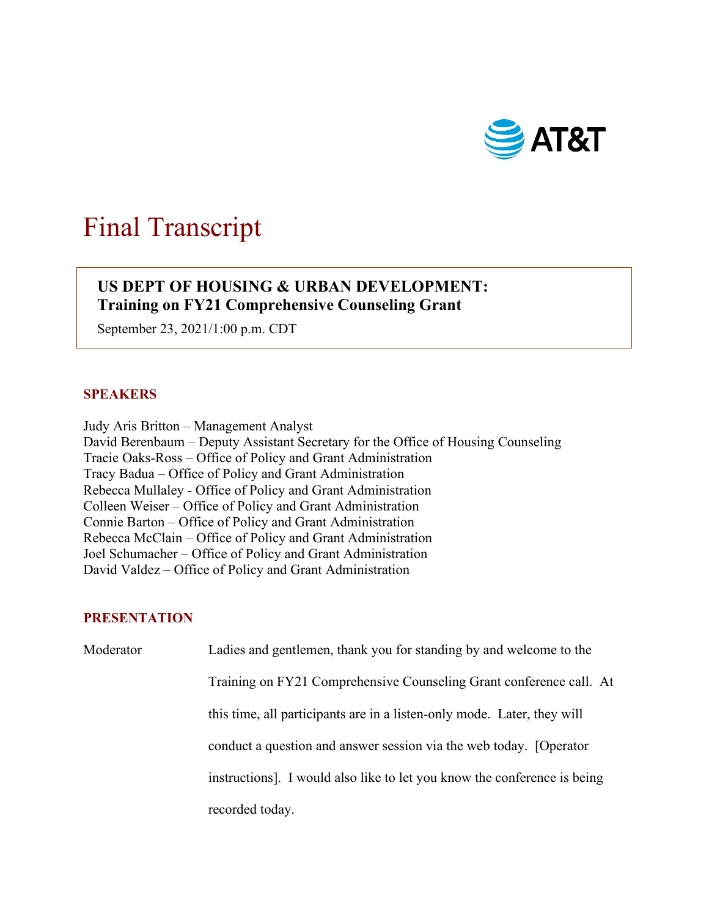

# Final Transcript

# $\overline{\phantom{a}}$ **US DEPT OF HOUSING & URBAN DEVELOPMENT: Training on FY21 Comprehensive Counseling Grant**

September 23, 2021/1:00 p.m. CDT

## **SPEAKERS**

 Judy Aris Britton – Management Analyst Tracy Badua – Office of Policy and Grant Administration Rebecca Mullaley - Office of Policy and Grant Administration Colleen Weiser – Office of Policy and Grant Administration David Valdez – Office of Policy and Grant Administration David Berenbaum – Deputy Assistant Secretary for the Office of Housing Counseling Tracie Oaks-Ross – Office of Policy and Grant Administration Connie Barton – Office of Policy and Grant Administration Rebecca McClain – Office of Policy and Grant Administration Joel Schumacher – Office of Policy and Grant Administration

## **PRESENTATION**

Moderator Ladies and gentlemen, thank you for standing by and welcome to the Training on FY21 Comprehensive Counseling Grant conference call. At this time, all participants are in a listen-only mode. Later, they will conduct a question and answer session via the web today. [Operator instructions]. I would also like to let you know the conference is being recorded today.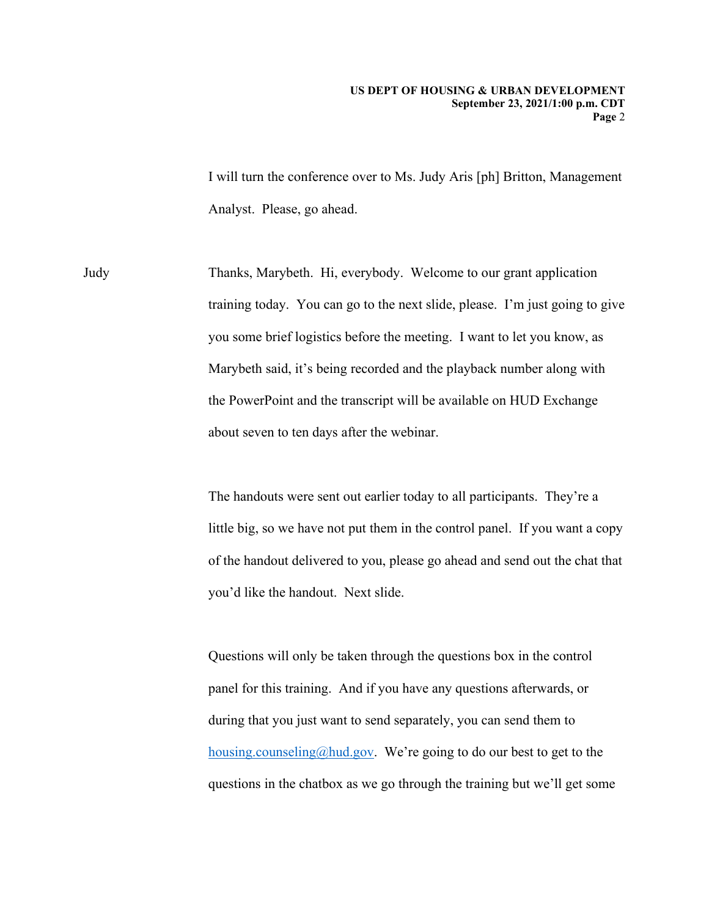I will turn the conference over to Ms. Judy Aris [ph] Britton, Management Analyst. Please, go ahead.

Judy Thanks, Marybeth. Hi, everybody. Welcome to our grant application training today. You can go to the next slide, please. I'm just going to give you some brief logistics before the meeting. I want to let you know, as Marybeth said, it's being recorded and the playback number along with the PowerPoint and the transcript will be available on HUD Exchange about seven to ten days after the webinar.

> The handouts were sent out earlier today to all participants. They're a little big, so we have not put them in the control panel. If you want a copy of the handout delivered to you, please go ahead and send out the chat that you'd like the handout. Next slide.

Questions will only be taken through the questions box in the control panel for this training. And if you have any questions afterwards, or during that you just want to send separately, you can send them to [housing.counseling@hud.gov.](mailto:housing.counseling@hud.gov) We're going to do our best to get to the questions in the chatbox as we go through the training but we'll get some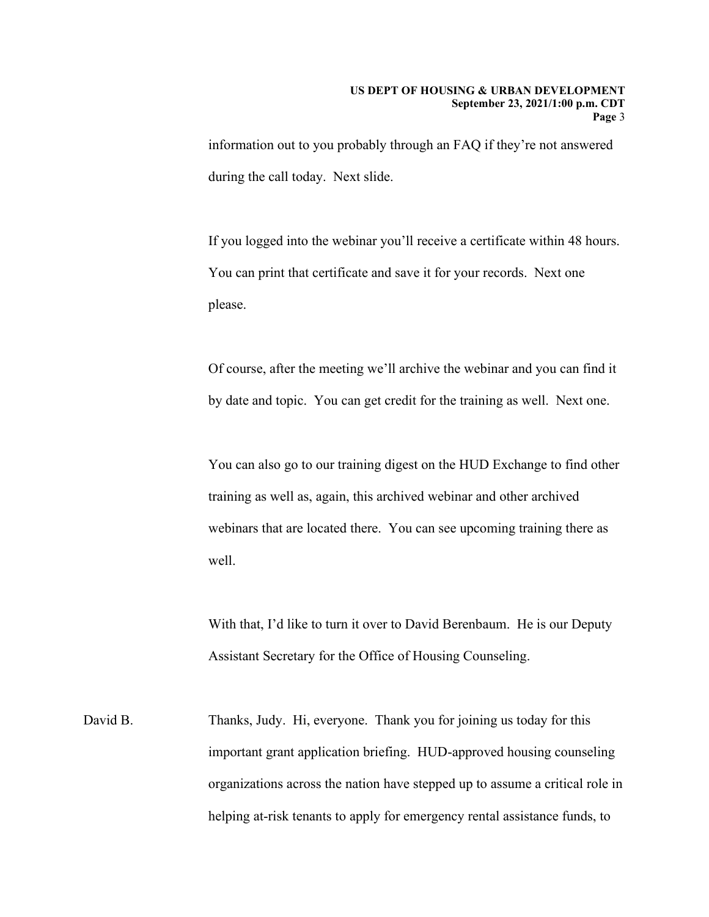information out to you probably through an FAQ if they're not answered during the call today. Next slide.

please. If you logged into the webinar you'll receive a certificate within 48 hours. You can print that certificate and save it for your records. Next one

Of course, after the meeting we'll archive the webinar and you can find it by date and topic. You can get credit for the training as well. Next one.

You can also go to our training digest on the HUD Exchange to find other training as well as, again, this archived webinar and other archived webinars that are located there. You can see upcoming training there as well.

With that, I'd like to turn it over to David Berenbaum. He is our Deputy Assistant Secretary for the Office of Housing Counseling.

David B. Thanks, Judy. Hi, everyone. Thank you for joining us today for this important grant application briefing. HUD-approved housing counseling organizations across the nation have stepped up to assume a critical role in helping at-risk tenants to apply for emergency rental assistance funds, to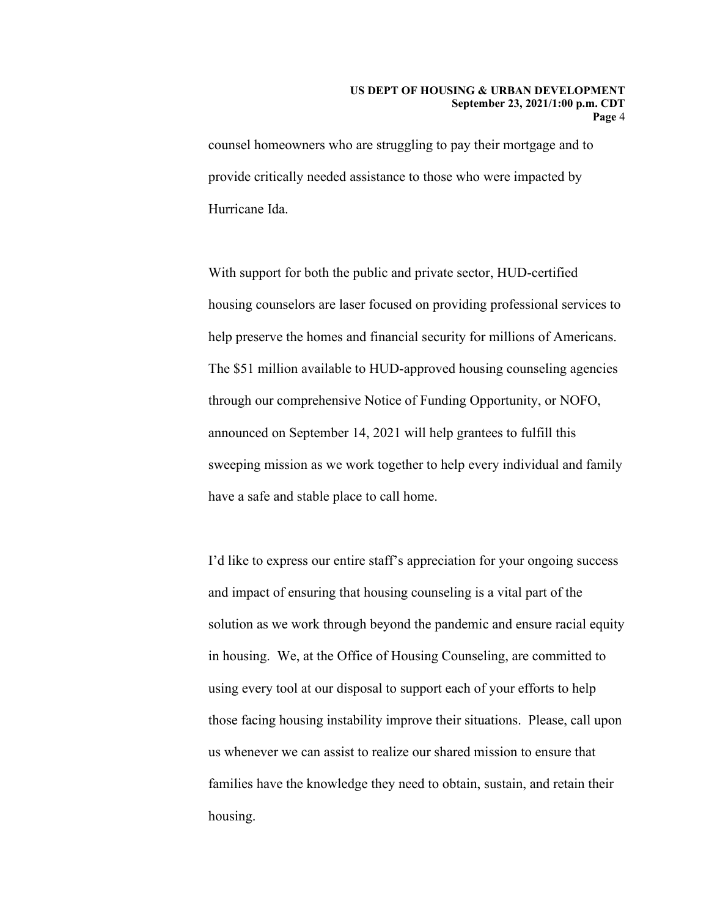#### **US DEPT OF HOUSING & URBAN DEVELOPMENT September 23, 2021/1:00 p.m. CDT Page** 4

counsel homeowners who are struggling to pay their mortgage and to provide critically needed assistance to those who were impacted by Hurricane Ida.

 through our comprehensive Notice of Funding Opportunity, or NOFO, With support for both the public and private sector, HUD-certified housing counselors are laser focused on providing professional services to help preserve the homes and financial security for millions of Americans. The \$51 million available to HUD-approved housing counseling agencies announced on September 14, 2021 will help grantees to fulfill this sweeping mission as we work together to help every individual and family have a safe and stable place to call home.

I'd like to express our entire staff's appreciation for your ongoing success and impact of ensuring that housing counseling is a vital part of the solution as we work through beyond the pandemic and ensure racial equity in housing. We, at the Office of Housing Counseling, are committed to using every tool at our disposal to support each of your efforts to help those facing housing instability improve their situations. Please, call upon us whenever we can assist to realize our shared mission to ensure that families have the knowledge they need to obtain, sustain, and retain their housing.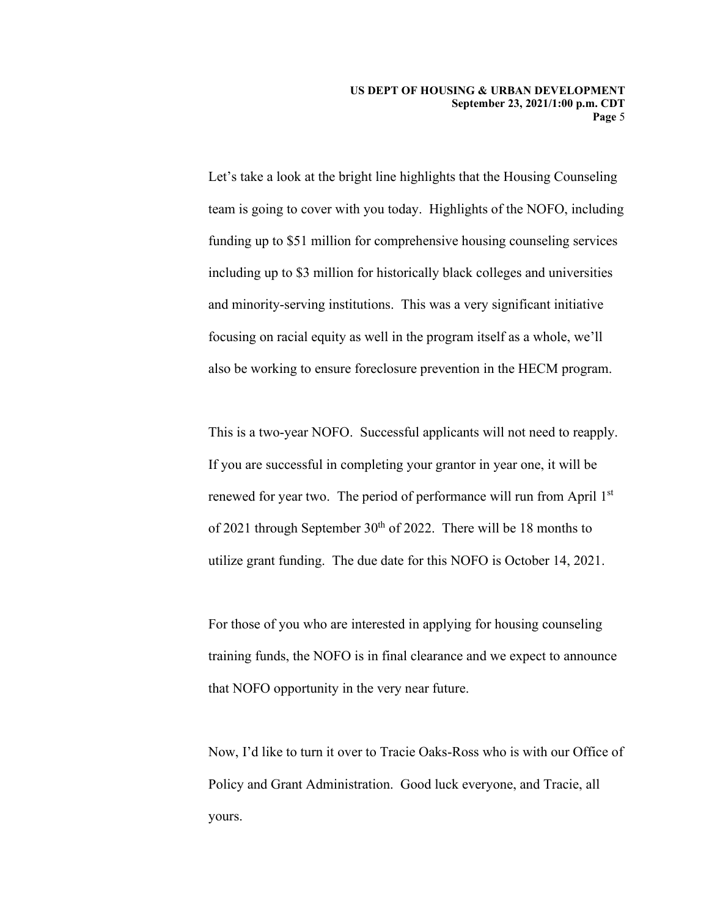**US DEPT OF HOUSING & URBAN DEVELOPMENT September 23, 2021/1:00 p.m. CDT Page** 5

 team is going to cover with you today. Highlights of the NOFO, including Let's take a look at the bright line highlights that the Housing Counseling funding up to \$51 million for comprehensive housing counseling services including up to \$3 million for historically black colleges and universities and minority-serving institutions. This was a very significant initiative focusing on racial equity as well in the program itself as a whole, we'll also be working to ensure foreclosure prevention in the HECM program.

 utilize grant funding. The due date for this NOFO is October 14, 2021. This is a two-year NOFO. Successful applicants will not need to reapply. If you are successful in completing your grantor in year one, it will be renewed for year two. The period of performance will run from April 1st of 2021 through September  $30<sup>th</sup>$  of 2022. There will be 18 months to

For those of you who are interested in applying for housing counseling training funds, the NOFO is in final clearance and we expect to announce that NOFO opportunity in the very near future.

Now, I'd like to turn it over to Tracie Oaks-Ross who is with our Office of Policy and Grant Administration. Good luck everyone, and Tracie, all yours.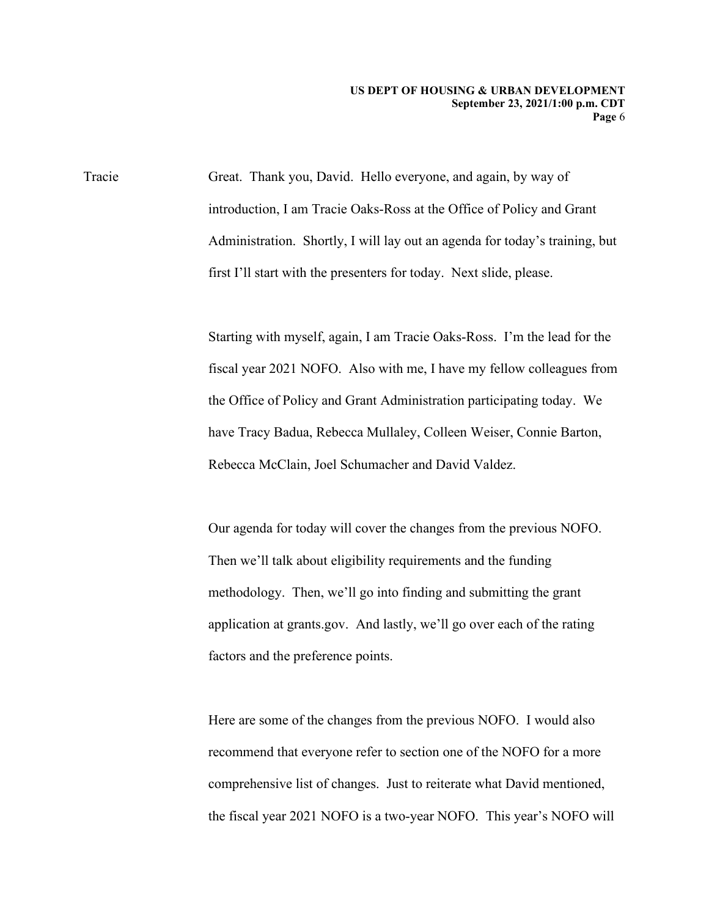Tracie first I'll start with the presenters for today. Next slide, please. Great. Thank you, David. Hello everyone, and again, by way of introduction, I am Tracie Oaks-Ross at the Office of Policy and Grant Administration. Shortly, I will lay out an agenda for today's training, but

> Starting with myself, again, I am Tracie Oaks-Ross. I'm the lead for the fiscal year 2021 NOFO. Also with me, I have my fellow colleagues from the Office of Policy and Grant Administration participating today. We have Tracy Badua, Rebecca Mullaley, Colleen Weiser, Connie Barton, Rebecca McClain, Joel Schumacher and David Valdez.

Our agenda for today will cover the changes from the previous NOFO. Then we'll talk about eligibility requirements and the funding methodology. Then, we'll go into finding and submitting the grant application at grants.gov. And lastly, we'll go over each of the rating factors and the preference points.

 recommend that everyone refer to section one of the NOFO for a more Here are some of the changes from the previous NOFO. I would also comprehensive list of changes. Just to reiterate what David mentioned, the fiscal year 2021 NOFO is a two-year NOFO. This year's NOFO will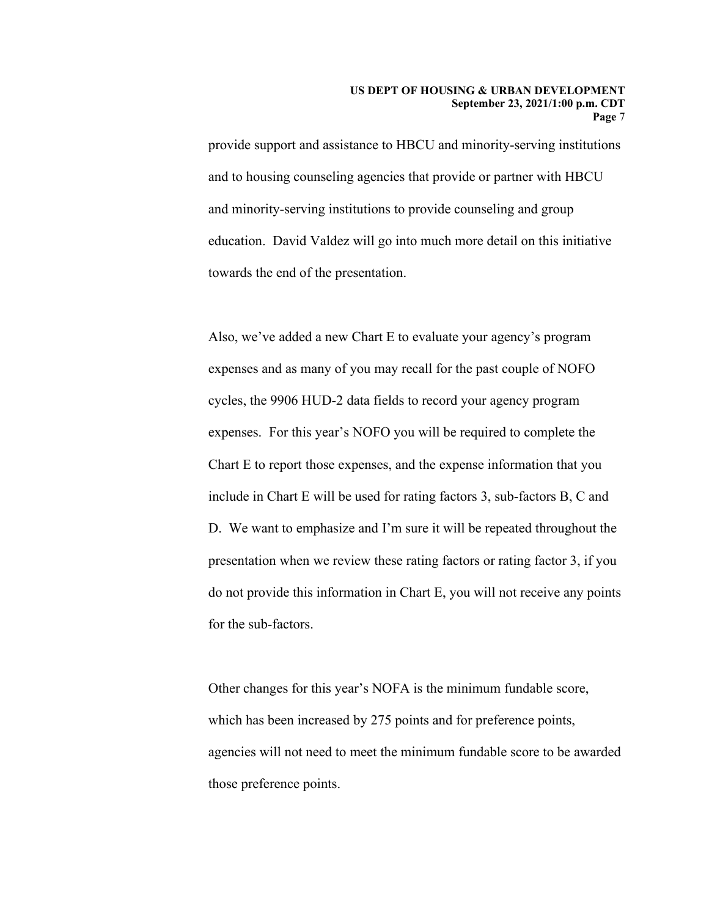provide support and assistance to HBCU and minority-serving institutions and to housing counseling agencies that provide or partner with HBCU and minority-serving institutions to provide counseling and group education. David Valdez will go into much more detail on this initiative towards the end of the presentation.

for the sub-factors. Also, we've added a new Chart E to evaluate your agency's program expenses and as many of you may recall for the past couple of NOFO cycles, the 9906 HUD-2 data fields to record your agency program expenses. For this year's NOFO you will be required to complete the Chart E to report those expenses, and the expense information that you include in Chart E will be used for rating factors 3, sub-factors B, C and D. We want to emphasize and I'm sure it will be repeated throughout the presentation when we review these rating factors or rating factor 3, if you do not provide this information in Chart E, you will not receive any points

Other changes for this year's NOFA is the minimum fundable score, which has been increased by 275 points and for preference points, agencies will not need to meet the minimum fundable score to be awarded those preference points.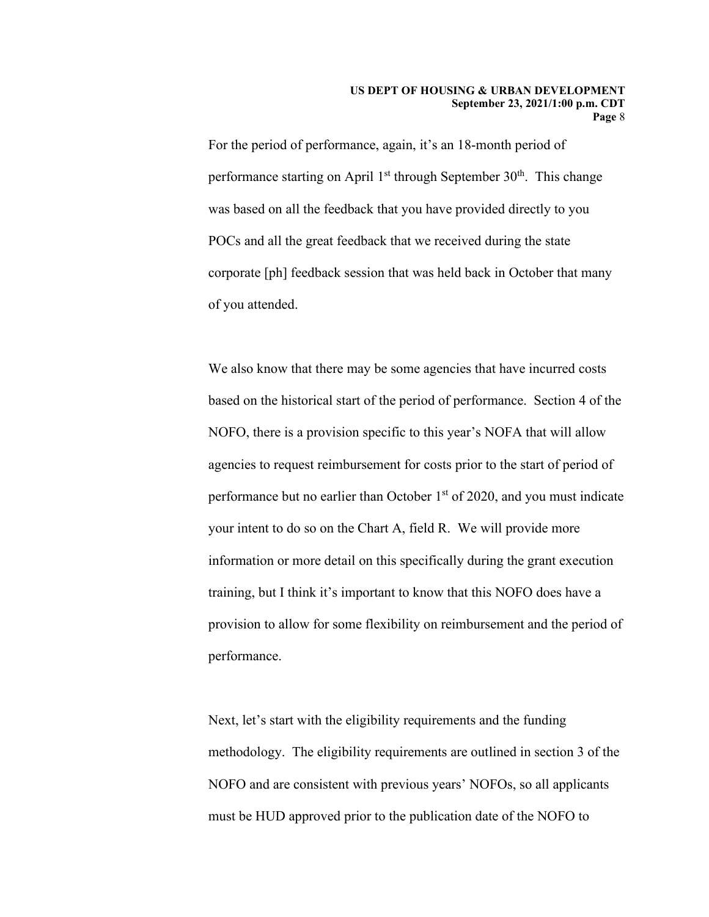For the period of performance, again, it's an 18-month period of performance starting on April  $1<sup>st</sup>$  through September  $30<sup>th</sup>$ . This change was based on all the feedback that you have provided directly to you POCs and all the great feedback that we received during the state corporate [ph] feedback session that was held back in October that many of you attended.

 We also know that there may be some agencies that have incurred costs NOFO, there is a provision specific to this year's NOFA that will allow training, but I think it's important to know that this NOFO does have a performance. based on the historical start of the period of performance. Section 4 of the agencies to request reimbursement for costs prior to the start of period of performance but no earlier than October  $1<sup>st</sup>$  of 2020, and you must indicate your intent to do so on the Chart A, field R. We will provide more information or more detail on this specifically during the grant execution provision to allow for some flexibility on reimbursement and the period of

Next, let's start with the eligibility requirements and the funding methodology. The eligibility requirements are outlined in section 3 of the NOFO and are consistent with previous years' NOFOs, so all applicants must be HUD approved prior to the publication date of the NOFO to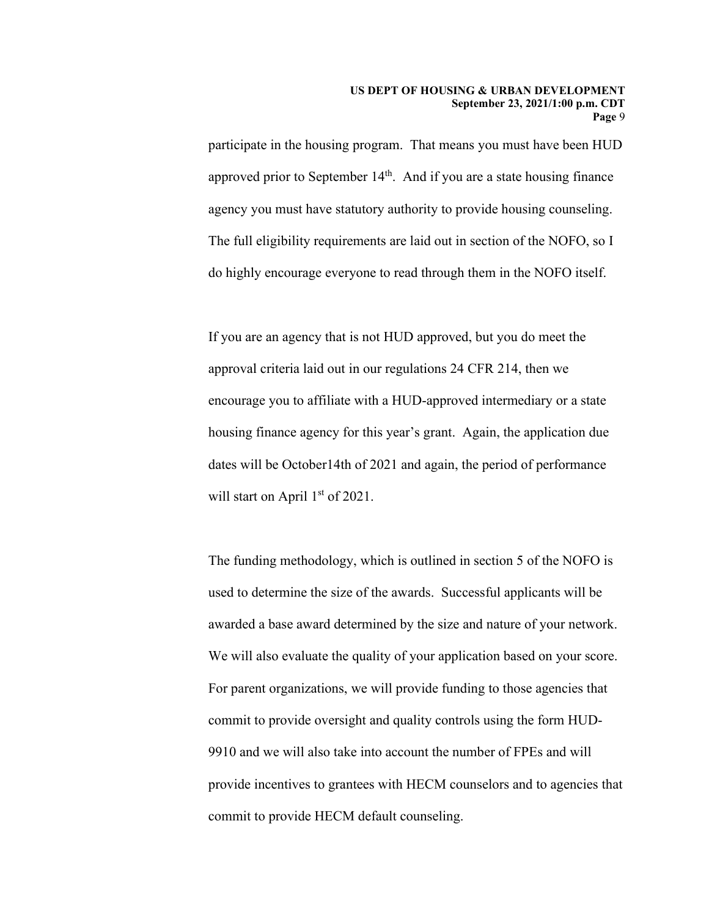participate in the housing program. That means you must have been HUD approved prior to September  $14<sup>th</sup>$ . And if you are a state housing finance agency you must have statutory authority to provide housing counseling. The full eligibility requirements are laid out in section of the NOFO, so I do highly encourage everyone to read through them in the NOFO itself.

will start on April 1<sup>st</sup> of 2021. If you are an agency that is not HUD approved, but you do meet the approval criteria laid out in our regulations 24 CFR 214, then we encourage you to affiliate with a HUD-approved intermediary or a state housing finance agency for this year's grant. Again, the application due dates will be October14th of 2021 and again, the period of performance

We will also evaluate the quality of your application based on your score. The funding methodology, which is outlined in section 5 of the NOFO is used to determine the size of the awards. Successful applicants will be awarded a base award determined by the size and nature of your network. For parent organizations, we will provide funding to those agencies that commit to provide oversight and quality controls using the form HUD-9910 and we will also take into account the number of FPEs and will provide incentives to grantees with HECM counselors and to agencies that commit to provide HECM default counseling.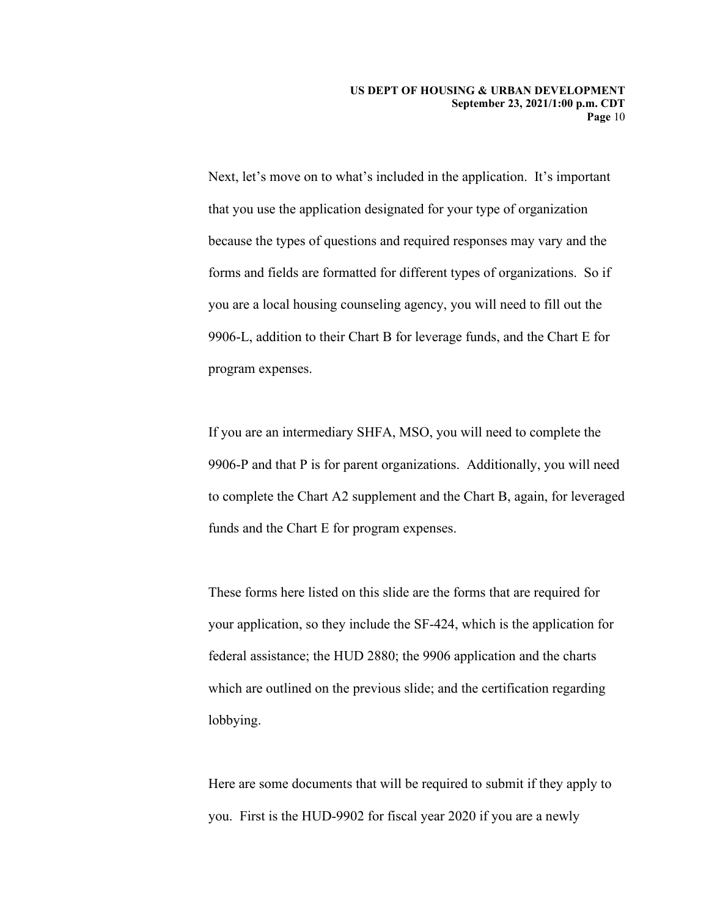Next, let's move on to what's included in the application. It's important that you use the application designated for your type of organization because the types of questions and required responses may vary and the forms and fields are formatted for different types of organizations. So if you are a local housing counseling agency, you will need to fill out the 9906-L, addition to their Chart B for leverage funds, and the Chart E for program expenses.

If you are an intermediary SHFA, MSO, you will need to complete the 9906-P and that P is for parent organizations. Additionally, you will need to complete the Chart A2 supplement and the Chart B, again, for leveraged funds and the Chart E for program expenses.

 These forms here listed on this slide are the forms that are required for your application, so they include the SF-424, which is the application for federal assistance; the HUD 2880; the 9906 application and the charts which are outlined on the previous slide; and the certification regarding lobbying.

Here are some documents that will be required to submit if they apply to you. First is the HUD-9902 for fiscal year 2020 if you are a newly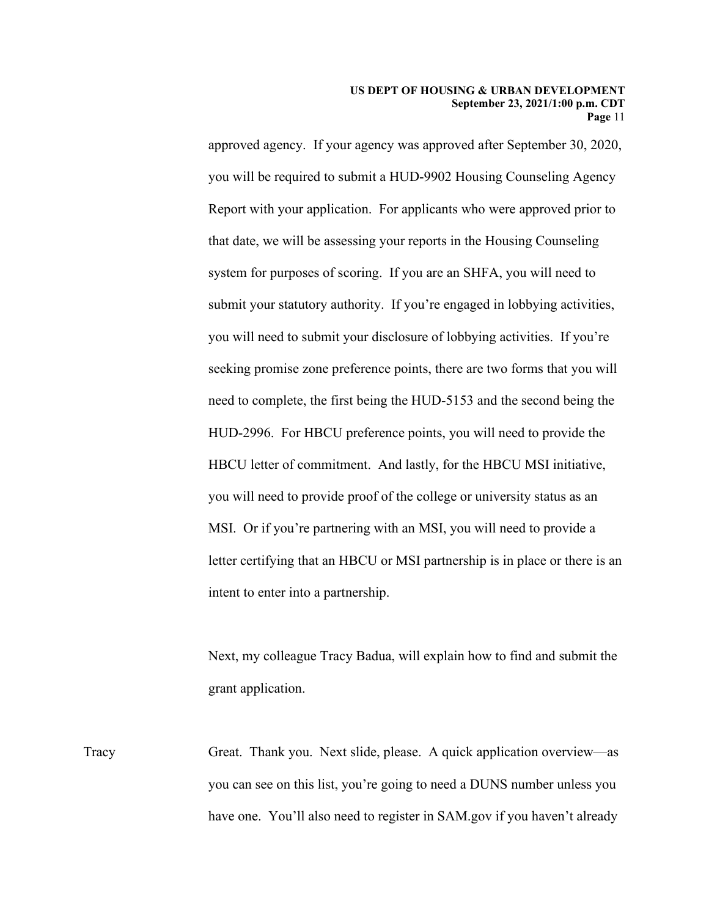approved agency. If your agency was approved after September 30, 2020, you will be required to submit a HUD-9902 Housing Counseling Agency Report with your application. For applicants who were approved prior to that date, we will be assessing your reports in the Housing Counseling system for purposes of scoring. If you are an SHFA, you will need to submit your statutory authority. If you're engaged in lobbying activities, you will need to submit your disclosure of lobbying activities. If you're seeking promise zone preference points, there are two forms that you will need to complete, the first being the HUD-5153 and the second being the HUD-2996. For HBCU preference points, you will need to provide the HBCU letter of commitment. And lastly, for the HBCU MSI initiative, you will need to provide proof of the college or university status as an MSI. Or if you're partnering with an MSI, you will need to provide a letter certifying that an HBCU or MSI partnership is in place or there is an intent to enter into a partnership.

Next, my colleague Tracy Badua, will explain how to find and submit the grant application.

 have one. You'll also need to register in SAM.gov if you haven't already Tracy Great. Thank you. Next slide, please. A quick application overview—as you can see on this list, you're going to need a DUNS number unless you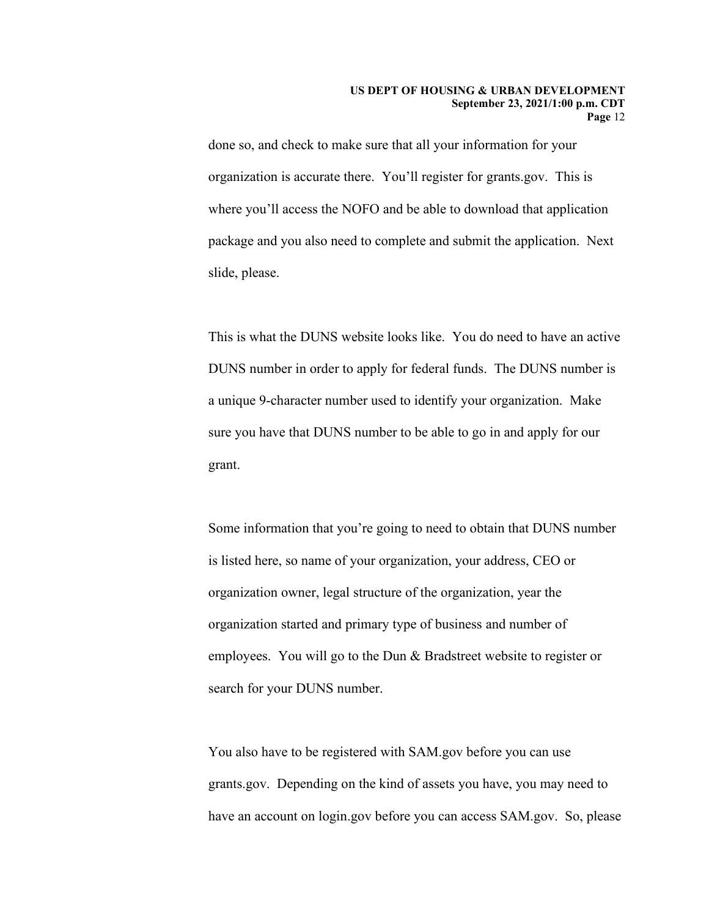where you'll access the NOFO and be able to download that application slide, please. done so, and check to make sure that all your information for your organization is accurate there. You'll register for grants.gov. This is package and you also need to complete and submit the application. Next

slide, please.<br>This is what the DUNS website looks like. You do need to have an active DUNS number in order to apply for federal funds. The DUNS number is a unique 9-character number used to identify your organization. Make sure you have that DUNS number to be able to go in and apply for our grant.

Some information that you're going to need to obtain that DUNS number is listed here, so name of your organization, your address, CEO or organization owner, legal structure of the organization, year the organization started and primary type of business and number of employees. You will go to the Dun & Bradstreet website to register or search for your DUNS number.

You also have to be registered with SAM.gov before you can use grants.gov. Depending on the kind of assets you have, you may need to have an account on login.gov before you can access SAM.gov. So, please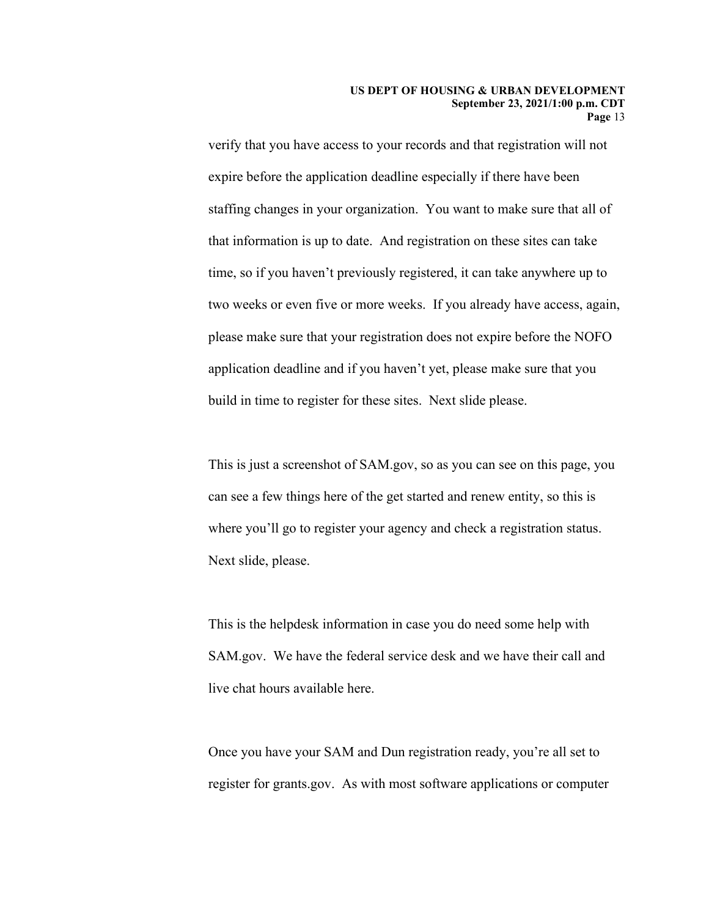staffing changes in your organization. You want to make sure that all of two weeks or even five or more weeks. If you already have access, again, verify that you have access to your records and that registration will not expire before the application deadline especially if there have been that information is up to date. And registration on these sites can take time, so if you haven't previously registered, it can take anywhere up to please make sure that your registration does not expire before the NOFO application deadline and if you haven't yet, please make sure that you build in time to register for these sites. Next slide please.

This is just a screenshot of SAM.gov, so as you can see on this page, you can see a few things here of the get started and renew entity, so this is where you'll go to register your agency and check a registration status. Next slide, please.

live chat hours available here. This is the helpdesk information in case you do need some help with SAM.gov. We have the federal service desk and we have their call and

Once you have your SAM and Dun registration ready, you're all set to register for grants.gov. As with most software applications or computer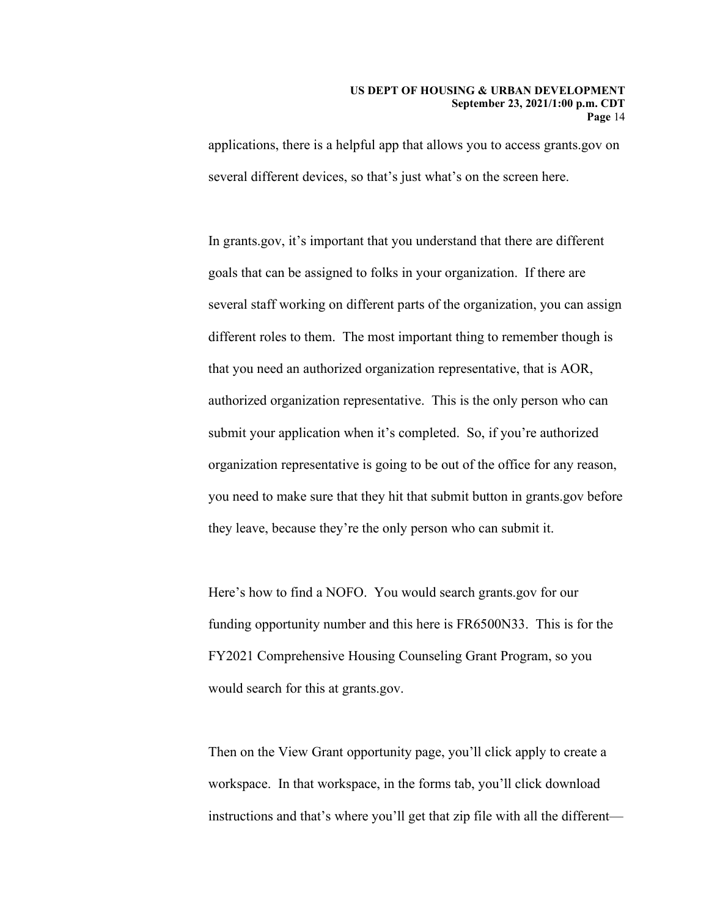#### **US DEPT OF HOUSING & URBAN DEVELOPMENT September 23, 2021/1:00 p.m. CDT Page** 14

applications, there is a helpful app that allows you to access grants.gov on several different devices, so that's just what's on the screen here.

 goals that can be assigned to folks in your organization. If there are In grants.gov, it's important that you understand that there are different several staff working on different parts of the organization, you can assign different roles to them. The most important thing to remember though is that you need an authorized organization representative, that is AOR, authorized organization representative. This is the only person who can submit your application when it's completed. So, if you're authorized organization representative is going to be out of the office for any reason, you need to make sure that they hit that submit button in grants.gov before they leave, because they're the only person who can submit it.

Here's how to find a NOFO. You would search grants.gov for our funding opportunity number and this here is FR6500N33. This is for the FY2021 Comprehensive Housing Counseling Grant Program, so you would search for this at grants.gov.

 Then on the View Grant opportunity page, you'll click apply to create a workspace. In that workspace, in the forms tab, you'll click download instructions and that's where you'll get that zip file with all the different—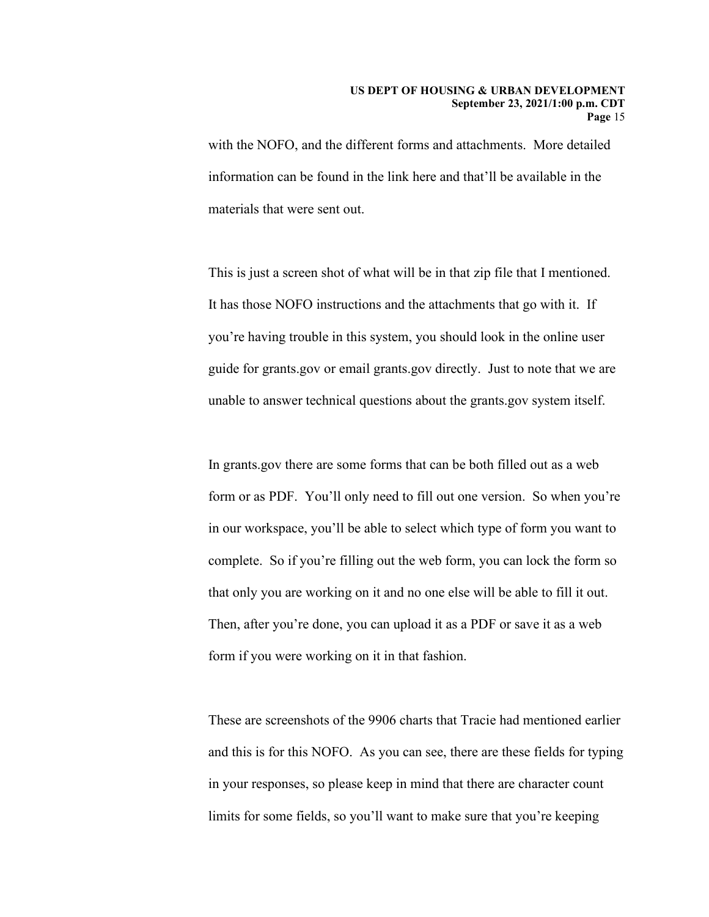with the NOFO, and the different forms and attachments. More detailed information can be found in the link here and that'll be available in the materials that were sent out.

This is just a screen shot of what will be in that zip file that I mentioned. It has those NOFO instructions and the attachments that go with it. If you're having trouble in this system, you should look in the online user guide for grants.gov or email grants.gov directly. Just to note that we are unable to answer technical questions about the grants.gov system itself.

 form or as PDF. You'll only need to fill out one version. So when you're In grants.gov there are some forms that can be both filled out as a web in our workspace, you'll be able to select which type of form you want to complete. So if you're filling out the web form, you can lock the form so that only you are working on it and no one else will be able to fill it out. Then, after you're done, you can upload it as a PDF or save it as a web form if you were working on it in that fashion.

 in your responses, so please keep in mind that there are character count These are screenshots of the 9906 charts that Tracie had mentioned earlier and this is for this NOFO. As you can see, there are these fields for typing limits for some fields, so you'll want to make sure that you're keeping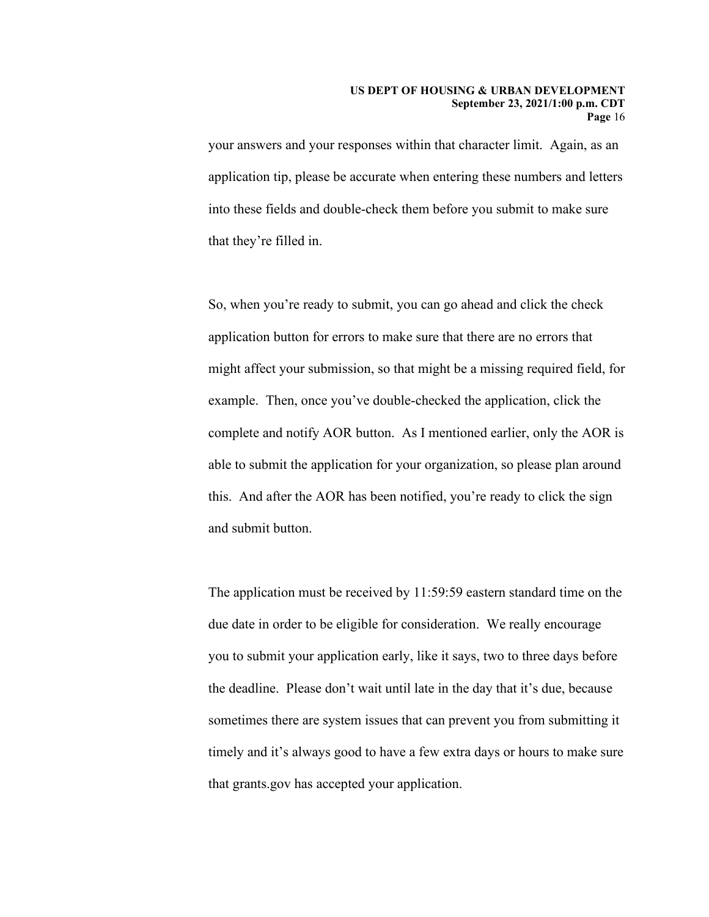application tip, please be accurate when entering these numbers and letters your answers and your responses within that character limit. Again, as an into these fields and double-check them before you submit to make sure that they're filled in.

 complete and notify AOR button. As I mentioned earlier, only the AOR is So, when you're ready to submit, you can go ahead and click the check application button for errors to make sure that there are no errors that might affect your submission, so that might be a missing required field, for example. Then, once you've double-checked the application, click the able to submit the application for your organization, so please plan around this. And after the AOR has been notified, you're ready to click the sign and submit button.

The application must be received by 11:59:59 eastern standard time on the due date in order to be eligible for consideration. We really encourage you to submit your application early, like it says, two to three days before the deadline. Please don't wait until late in the day that it's due, because sometimes there are system issues that can prevent you from submitting it timely and it's always good to have a few extra days or hours to make sure that grants.gov has accepted your application.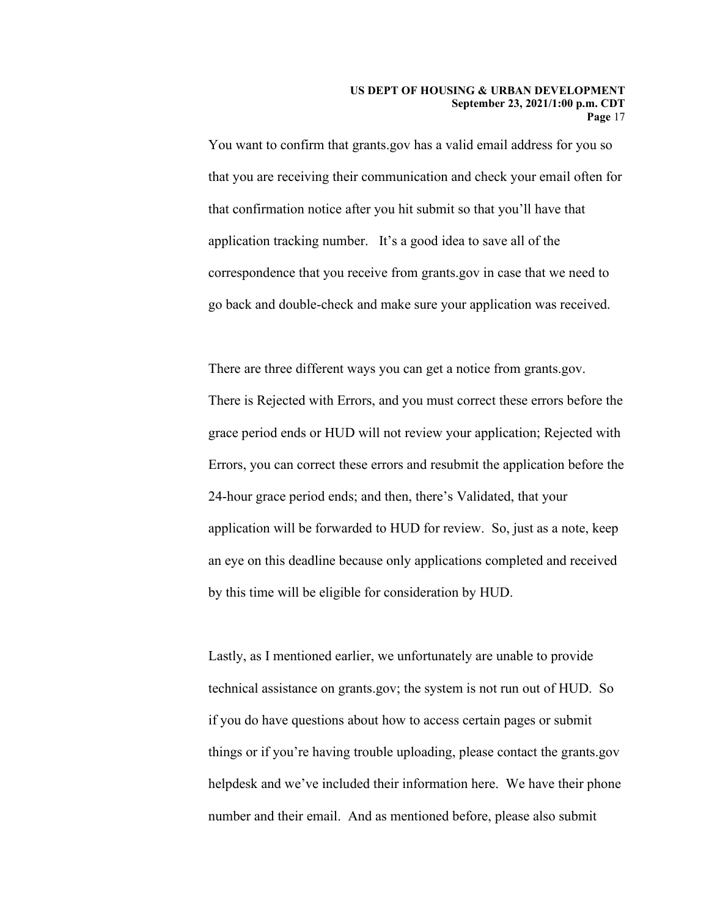You want to confirm that grants.gov has a valid email address for you so that you are receiving their communication and check your email often for that confirmation notice after you hit submit so that you'll have that application tracking number. It's a good idea to save all of the correspondence that you receive from grants.gov in case that we need to go back and double-check and make sure your application was received.

 There are three different ways you can get a notice from grants.gov. an eye on this deadline because only applications completed and received There is Rejected with Errors, and you must correct these errors before the grace period ends or HUD will not review your application; Rejected with Errors, you can correct these errors and resubmit the application before the 24-hour grace period ends; and then, there's Validated, that your application will be forwarded to HUD for review. So, just as a note, keep by this time will be eligible for consideration by HUD.

 if you do have questions about how to access certain pages or submit Lastly, as I mentioned earlier, we unfortunately are unable to provide technical assistance on grants.gov; the system is not run out of HUD. So things or if you're having trouble uploading, please contact the grants.gov helpdesk and we've included their information here. We have their phone number and their email. And as mentioned before, please also submit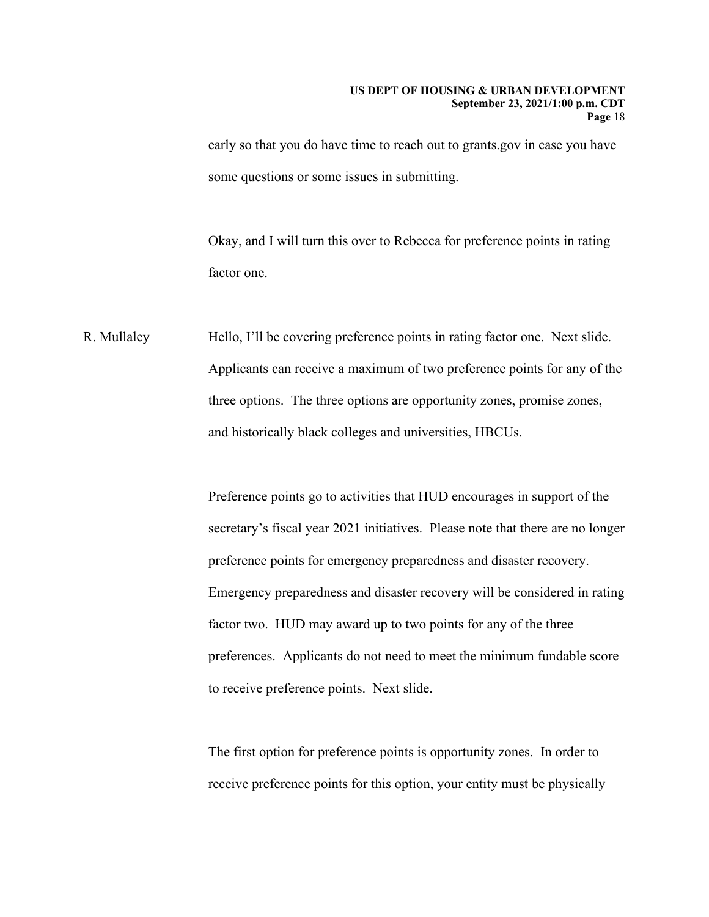early so that you do have time to reach out to grants.gov in case you have some questions or some issues in submitting.

factor one. Okay, and I will turn this over to Rebecca for preference points in rating

R. Mullaley Hello, I'll be covering preference points in rating factor one. Next slide. Applicants can receive a maximum of two preference points for any of the three options. The three options are opportunity zones, promise zones, and historically black colleges and universities, HBCUs.

> preference points for emergency preparedness and disaster recovery. Preference points go to activities that HUD encourages in support of the secretary's fiscal year 2021 initiatives. Please note that there are no longer Emergency preparedness and disaster recovery will be considered in rating. factor two. HUD may award up to two points for any of the three preferences. Applicants do not need to meet the minimum fundable score to receive preference points. Next slide.

The first option for preference points is opportunity zones. In order to receive preference points for this option, your entity must be physically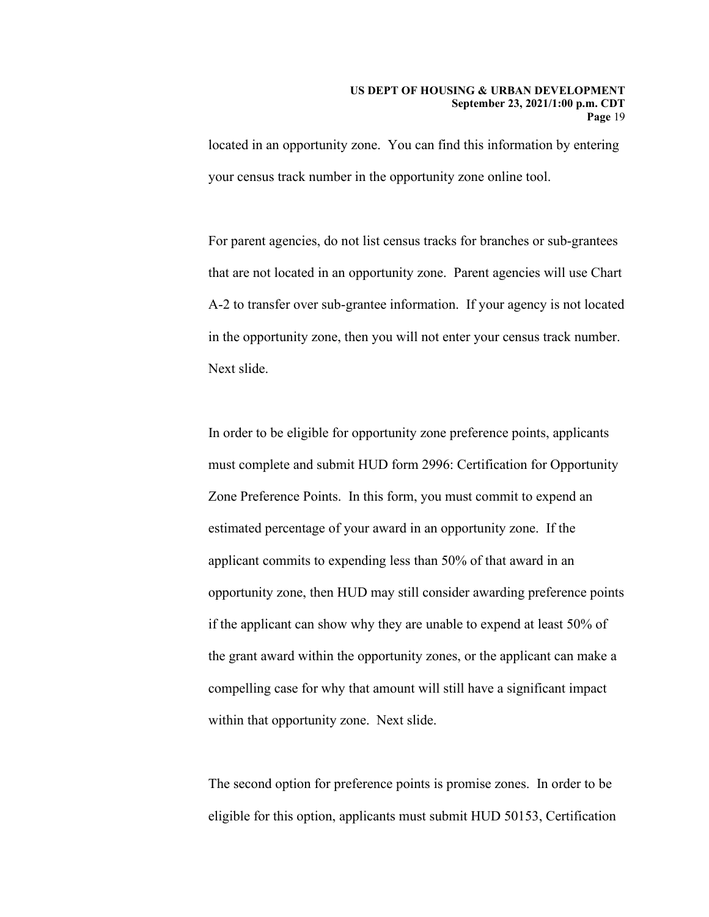located in an opportunity zone. You can find this information by entering your census track number in the opportunity zone online tool.

For parent agencies, do not list census tracks for branches or sub-grantees that are not located in an opportunity zone. Parent agencies will use Chart A-2 to transfer over sub-grantee information. If your agency is not located in the opportunity zone, then you will not enter your census track number. Next slide.

 estimated percentage of your award in an opportunity zone. If the the grant award within the opportunity zones, or the applicant can make a In order to be eligible for opportunity zone preference points, applicants must complete and submit HUD form 2996: Certification for Opportunity Zone Preference Points. In this form, you must commit to expend an applicant commits to expending less than 50% of that award in an opportunity zone, then HUD may still consider awarding preference points if the applicant can show why they are unable to expend at least 50% of compelling case for why that amount will still have a significant impact within that opportunity zone. Next slide.

The second option for preference points is promise zones. In order to be eligible for this option, applicants must submit HUD 50153, Certification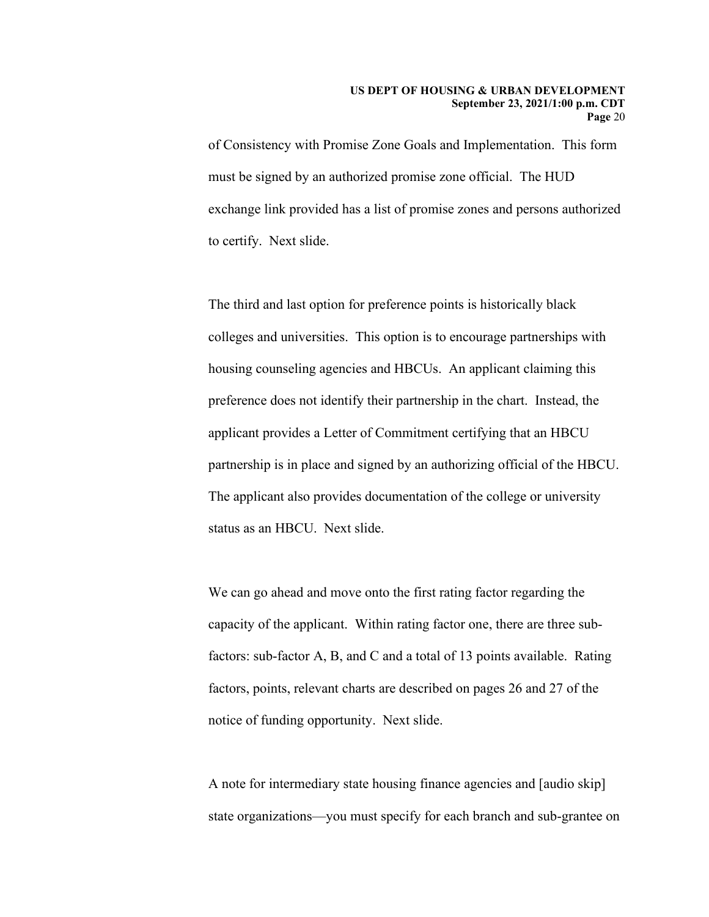of Consistency with Promise Zone Goals and Implementation. This form must be signed by an authorized promise zone official. The HUD exchange link provided has a list of promise zones and persons authorized to certify. Next slide.

 The applicant also provides documentation of the college or university The third and last option for preference points is historically black colleges and universities. This option is to encourage partnerships with housing counseling agencies and HBCUs. An applicant claiming this preference does not identify their partnership in the chart. Instead, the applicant provides a Letter of Commitment certifying that an HBCU partnership is in place and signed by an authorizing official of the HBCU. status as an HBCU. Next slide.

We can go ahead and move onto the first rating factor regarding the capacity of the applicant. Within rating factor one, there are three subfactors: sub-factor A, B, and C and a total of 13 points available. Rating factors, points, relevant charts are described on pages 26 and 27 of the notice of funding opportunity. Next slide.

A note for intermediary state housing finance agencies and [audio skip] state organizations—you must specify for each branch and sub-grantee on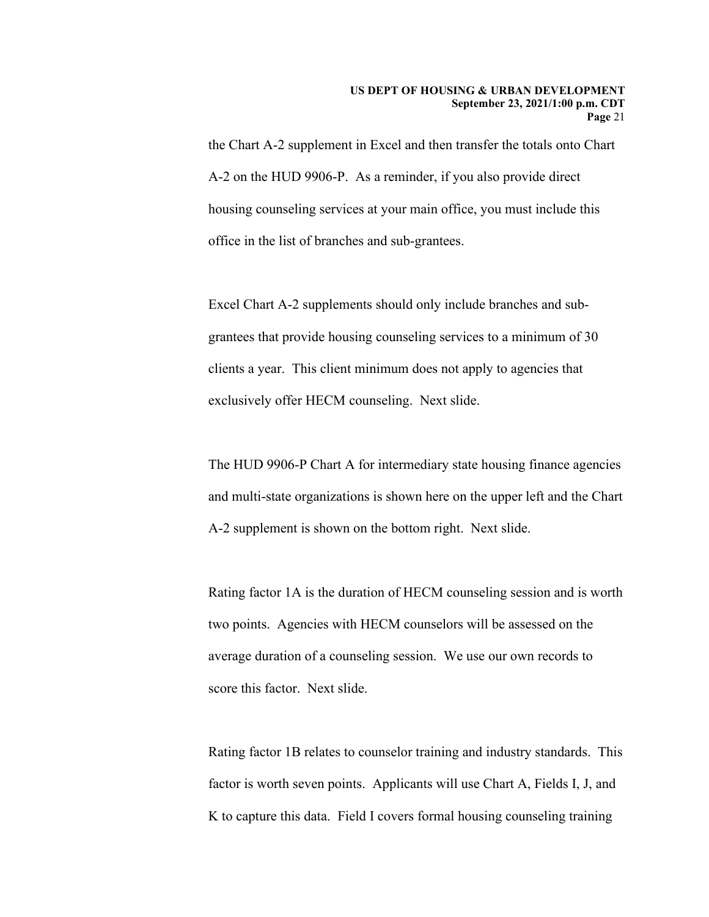the Chart A-2 supplement in Excel and then transfer the totals onto Chart A-2 on the HUD 9906-P. As a reminder, if you also provide direct housing counseling services at your main office, you must include this office in the list of branches and sub-grantees.

Excel Chart A-2 supplements should only include branches and subgrantees that provide housing counseling services to a minimum of 30 clients a year. This client minimum does not apply to agencies that exclusively offer HECM counseling. Next slide.

The HUD 9906-P Chart A for intermediary state housing finance agencies and multi-state organizations is shown here on the upper left and the Chart A-2 supplement is shown on the bottom right. Next slide.

Rating factor 1A is the duration of HECM counseling session and is worth two points. Agencies with HECM counselors will be assessed on the average duration of a counseling session. We use our own records to score this factor. Next slide.

 Rating factor 1B relates to counselor training and industry standards. This factor is worth seven points. Applicants will use Chart A, Fields I, J, and K to capture this data. Field I covers formal housing counseling training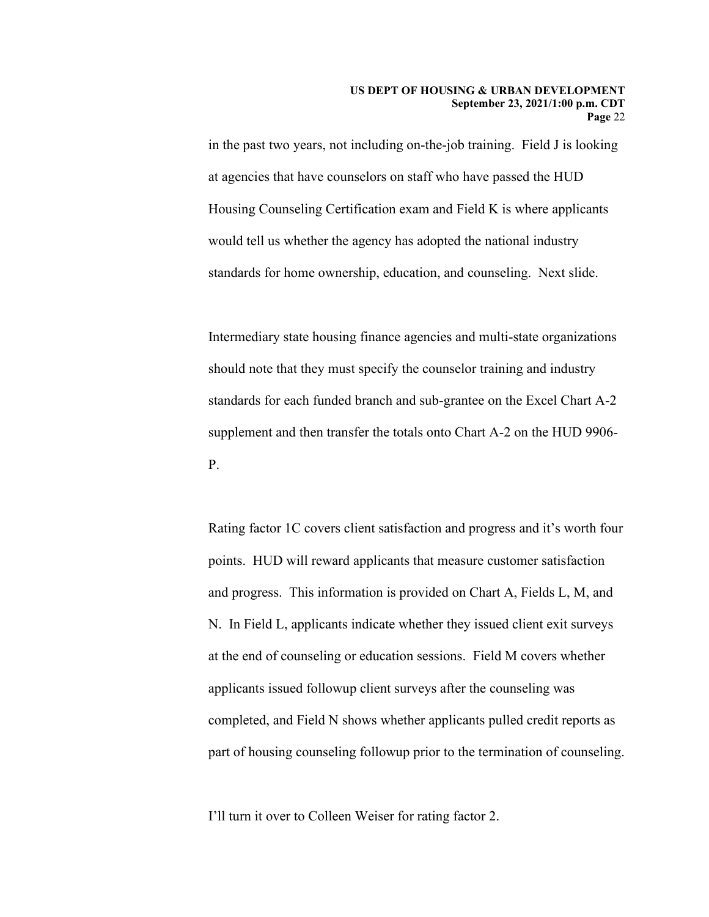Housing Counseling Certification exam and Field K is where applicants in the past two years, not including on-the-job training. Field J is looking at agencies that have counselors on staff who have passed the HUD would tell us whether the agency has adopted the national industry standards for home ownership, education, and counseling. Next slide.

Intermediary state housing finance agencies and multi-state organizations should note that they must specify the counselor training and industry standards for each funded branch and sub-grantee on the Excel Chart A-2 supplement and then transfer the totals onto Chart A-2 on the HUD 9906- P.

 completed, and Field N shows whether applicants pulled credit reports as Rating factor 1C covers client satisfaction and progress and it's worth four points. HUD will reward applicants that measure customer satisfaction and progress. This information is provided on Chart A, Fields L, M, and N. In Field L, applicants indicate whether they issued client exit surveys at the end of counseling or education sessions. Field M covers whether applicants issued followup client surveys after the counseling was part of housing counseling followup prior to the termination of counseling.

I'll turn it over to Colleen Weiser for rating factor 2.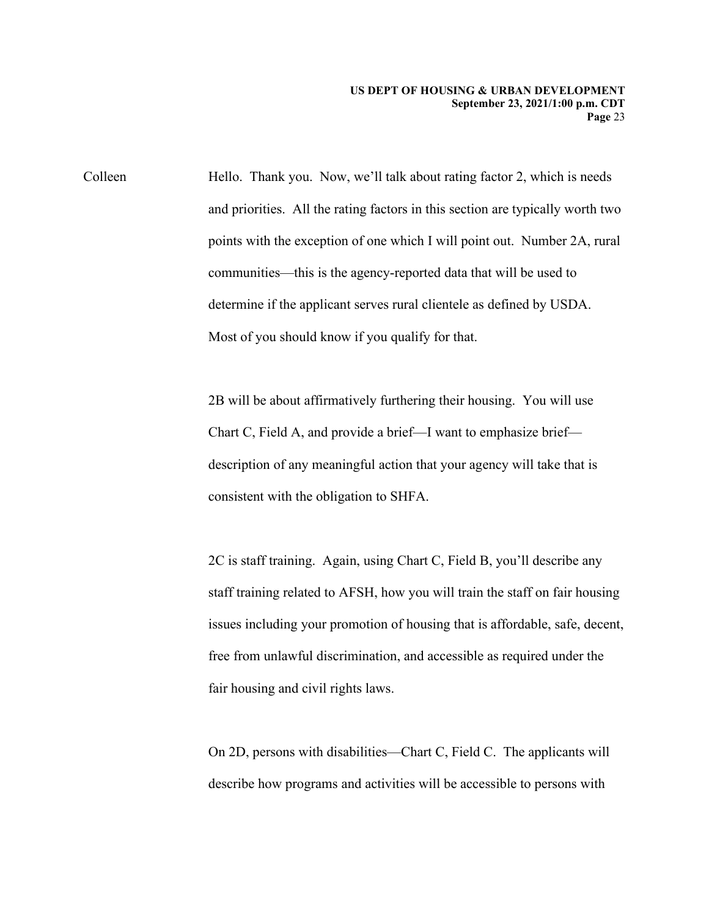Colleen determine if the applicant serves rural clientele as defined by USDA. Most of you should know if you qualify for that. Hello. Thank you. Now, we'll talk about rating factor 2, which is needs and priorities. All the rating factors in this section are typically worth two points with the exception of one which I will point out. Number 2A, rural communities—this is the agency-reported data that will be used to

> consistent with the obligation to SHFA. 2B will be about affirmatively furthering their housing. You will use Chart C, Field A, and provide a brief—I want to emphasize brief description of any meaningful action that your agency will take that is

 $2C$  is staff training. Again, using Chart C, Field B, you'll describe any staff training related to AFSH, how you will train the staff on fair housing issues including your promotion of housing that is affordable, safe, decent, free from unlawful discrimination, and accessible as required under the fair housing and civil rights laws.

On 2D, persons with disabilities—Chart C, Field C. The applicants will describe how programs and activities will be accessible to persons with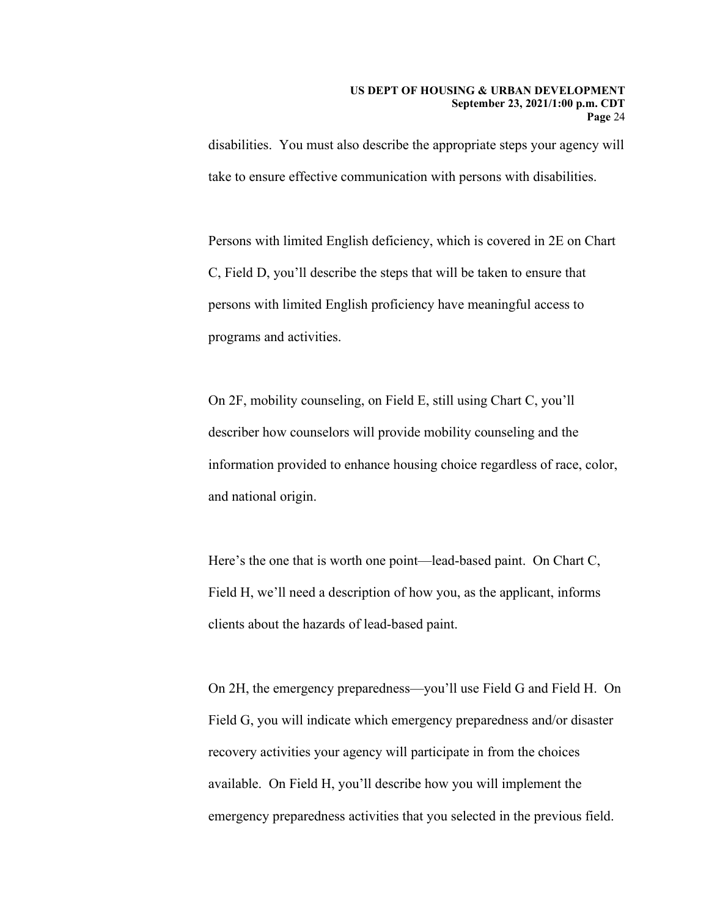take to ensure effective communication with persons with disabilities. disabilities. You must also describe the appropriate steps your agency will

Persons with limited English deficiency, which is covered in 2E on Chart C, Field D, you'll describe the steps that will be taken to ensure that persons with limited English proficiency have meaningful access to programs and activities.

On 2F, mobility counseling, on Field E, still using Chart C, you'll describer how counselors will provide mobility counseling and the information provided to enhance housing choice regardless of race, color, and national origin.

Here's the one that is worth one point—lead-based paint. On Chart C, Field H, we'll need a description of how you, as the applicant, informs clients about the hazards of lead-based paint.

 emergency preparedness activities that you selected in the previous field. On 2H, the emergency preparedness—you'll use Field G and Field H. On Field G, you will indicate which emergency preparedness and/or disaster recovery activities your agency will participate in from the choices available. On Field H, you'll describe how you will implement the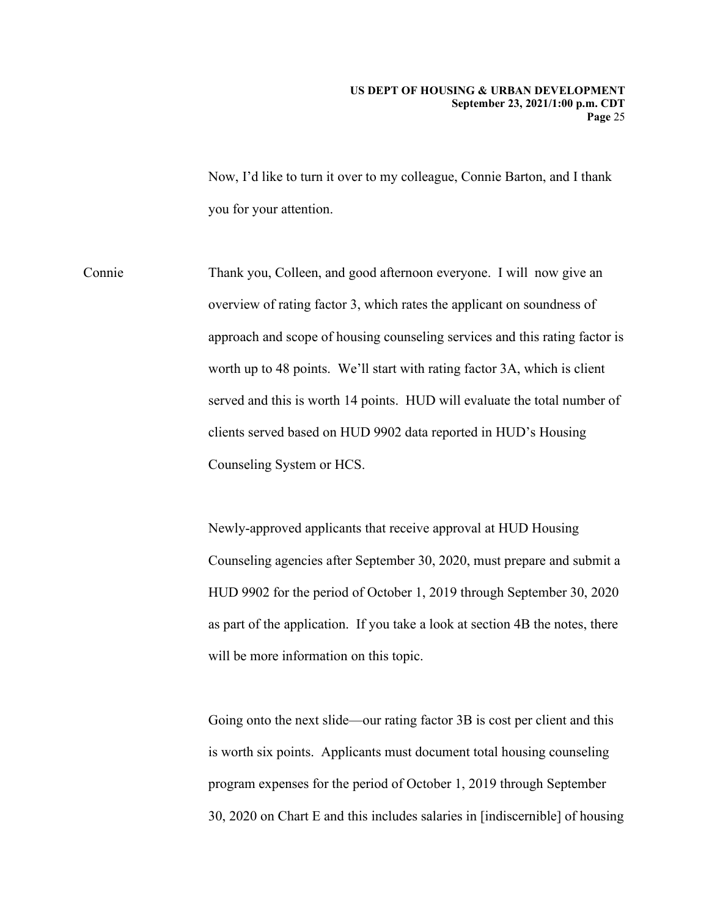Now, I'd like to turn it over to my colleague, Connie Barton, and I thank you for your attention.

Connie overview of rating factor 3, which rates the applicant on soundness of Thank you, Colleen, and good afternoon everyone. I will now give an approach and scope of housing counseling services and this rating factor is worth up to 48 points. We'll start with rating factor 3A, which is client served and this is worth 14 points. HUD will evaluate the total number of clients served based on HUD 9902 data reported in HUD's Housing Counseling System or HCS.

> Newly-approved applicants that receive approval at HUD Housing as part of the application. If you take a look at section 4B the notes, there Counseling agencies after September 30, 2020, must prepare and submit a HUD 9902 for the period of October 1, 2019 through September 30, 2020 will be more information on this topic.

> Going onto the next slide—our rating factor 3B is cost per client and this is worth six points. Applicants must document total housing counseling program expenses for the period of October 1, 2019 through September 30, 2020 on Chart E and this includes salaries in [indiscernible] of housing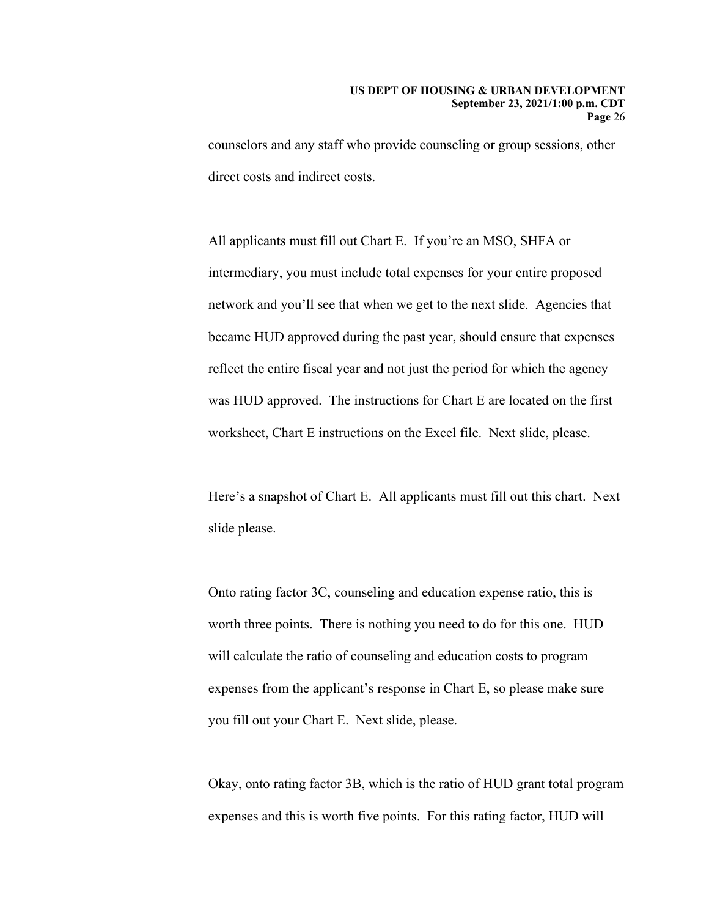counselors and any staff who provide counseling or group sessions, other direct costs and indirect costs.

 intermediary, you must include total expenses for your entire proposed All applicants must fill out Chart E. If you're an MSO, SHFA or network and you'll see that when we get to the next slide. Agencies that became HUD approved during the past year, should ensure that expenses reflect the entire fiscal year and not just the period for which the agency was HUD approved. The instructions for Chart E are located on the first worksheet, Chart E instructions on the Excel file. Next slide, please.

Here's a snapshot of Chart E. All applicants must fill out this chart. Next slide please.

Onto rating factor 3C, counseling and education expense ratio, this is worth three points. There is nothing you need to do for this one. HUD will calculate the ratio of counseling and education costs to program expenses from the applicant's response in Chart E, so please make sure you fill out your Chart E. Next slide, please.

Okay, onto rating factor 3B, which is the ratio of HUD grant total program expenses and this is worth five points. For this rating factor, HUD will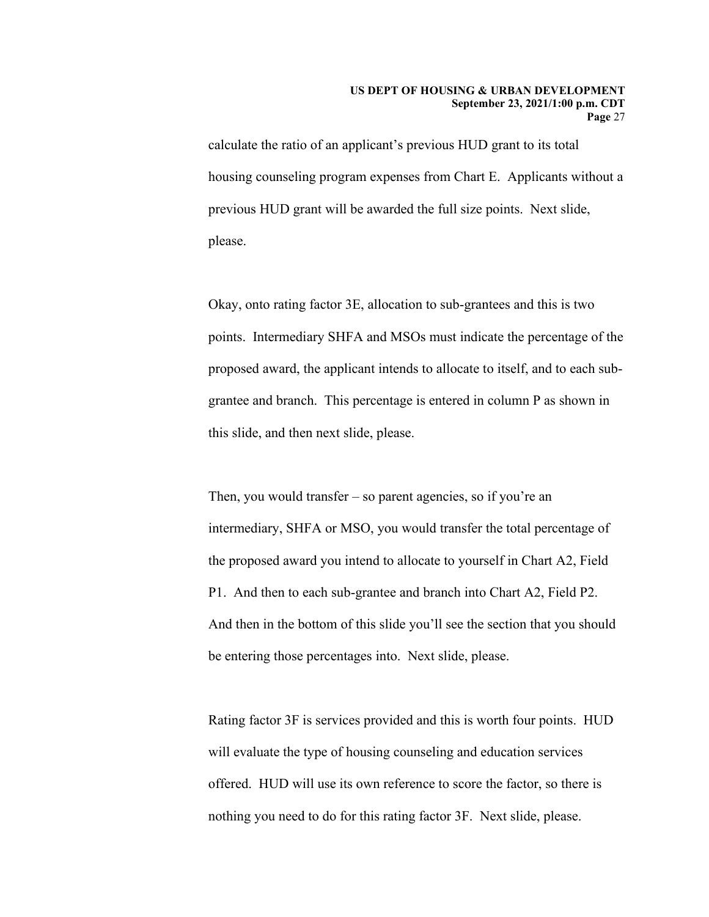#### **US DEPT OF HOUSING & URBAN DEVELOPMENT September 23, 2021/1:00 p.m. CDT Page** 27

 calculate the ratio of an applicant's previous HUD grant to its total previous HUD grant will be awarded the full size points. Next slide, housing counseling program expenses from Chart E. Applicants without a please.

Okay, onto rating factor 3E, allocation to sub-grantees and this is two points. Intermediary SHFA and MSOs must indicate the percentage of the proposed award, the applicant intends to allocate to itself, and to each subgrantee and branch. This percentage is entered in column P as shown in this slide, and then next slide, please.

 Then, you would transfer – so parent agencies, so if you're an intermediary, SHFA or MSO, you would transfer the total percentage of the proposed award you intend to allocate to yourself in Chart A2, Field P1. And then to each sub-grantee and branch into Chart A2, Field P2. And then in the bottom of this slide you'll see the section that you should be entering those percentages into. Next slide, please.

 nothing you need to do for this rating factor 3F. Next slide, please. Rating factor 3F is services provided and this is worth four points. HUD will evaluate the type of housing counseling and education services offered. HUD will use its own reference to score the factor, so there is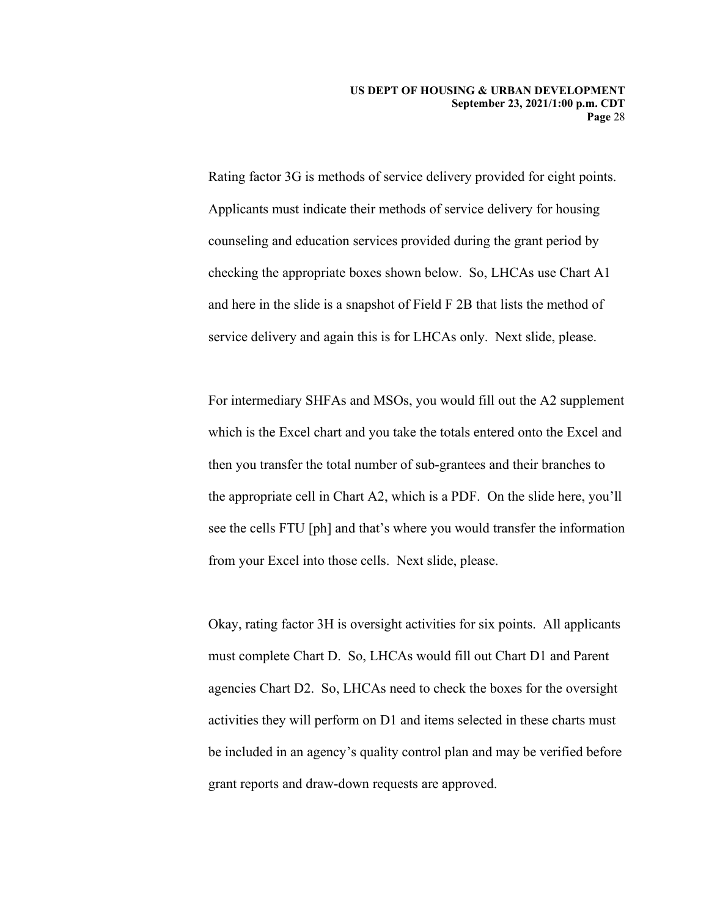Applicants must indicate their methods of service delivery for housing checking the appropriate boxes shown below. So, LHCAs use Chart A1 Rating factor 3G is methods of service delivery provided for eight points. counseling and education services provided during the grant period by and here in the slide is a snapshot of Field F 2B that lists the method of service delivery and again this is for LHCAs only. Next slide, please.

 For intermediary SHFAs and MSOs, you would fill out the A2 supplement which is the Excel chart and you take the totals entered onto the Excel and then you transfer the total number of sub-grantees and their branches to the appropriate cell in Chart A2, which is a PDF. On the slide here, you'll see the cells FTU [ph] and that's where you would transfer the information from your Excel into those cells. Next slide, please.

Okay, rating factor 3H is oversight activities for six points. All applicants must complete Chart D. So, LHCAs would fill out Chart D1 and Parent agencies Chart D2. So, LHCAs need to check the boxes for the oversight activities they will perform on D1 and items selected in these charts must be included in an agency's quality control plan and may be verified before grant reports and draw-down requests are approved.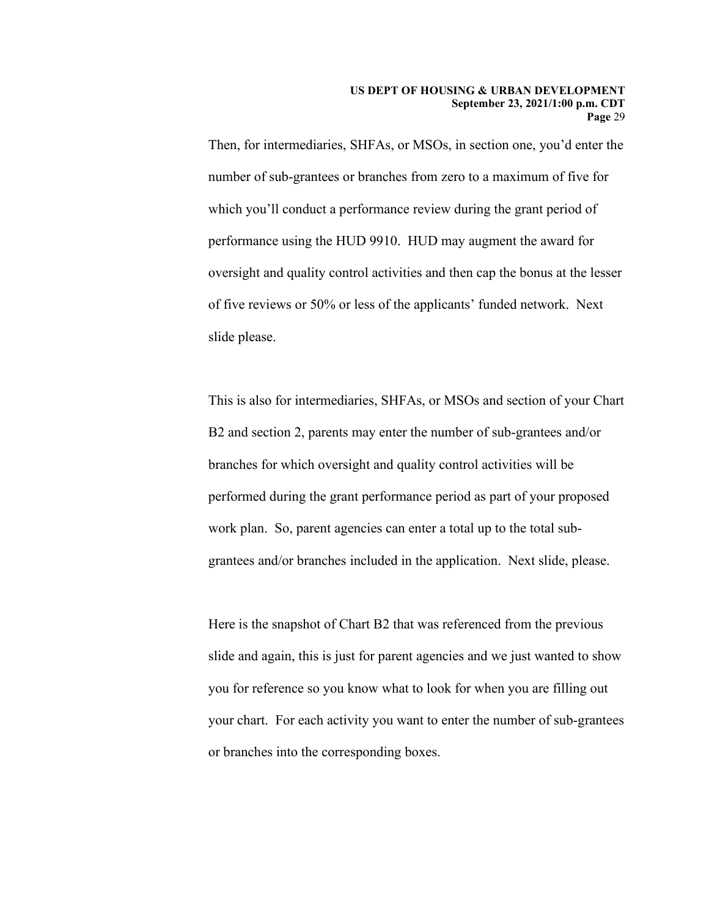slide please. Then, for intermediaries, SHFAs, or MSOs, in section one, you'd enter the number of sub-grantees or branches from zero to a maximum of five for which you'll conduct a performance review during the grant period of performance using the HUD 9910. HUD may augment the award for oversight and quality control activities and then cap the bonus at the lesser of five reviews or 50% or less of the applicants' funded network. Next

This is also for intermediaries, SHFAs, or MSOs and section of your Chart B2 and section 2, parents may enter the number of sub-grantees and/or branches for which oversight and quality control activities will be performed during the grant performance period as part of your proposed work plan. So, parent agencies can enter a total up to the total subgrantees and/or branches included in the application. Next slide, please.

 you for reference so you know what to look for when you are filling out Here is the snapshot of Chart B2 that was referenced from the previous slide and again, this is just for parent agencies and we just wanted to show your chart. For each activity you want to enter the number of sub-grantees or branches into the corresponding boxes.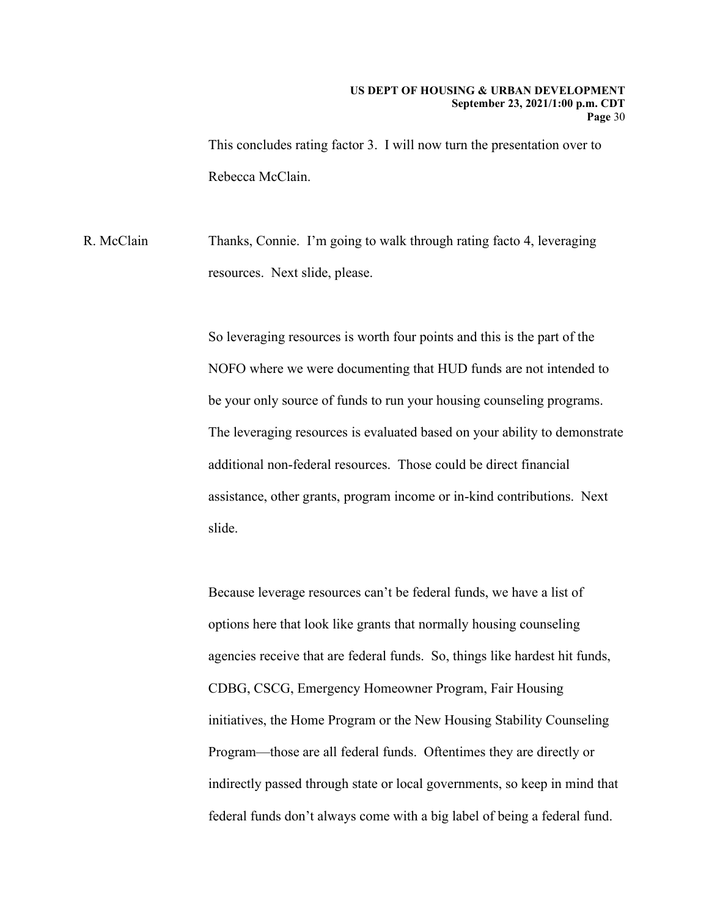Rebecca McClain. This concludes rating factor 3. I will now turn the presentation over to

R. McClain Thanks, Connie. I'm going to walk through rating facto 4, leveraging resources. Next slide, please.

> additional non-federal resources. Those could be direct financial So leveraging resources is worth four points and this is the part of the NOFO where we were documenting that HUD funds are not intended to be your only source of funds to run your housing counseling programs. The leveraging resources is evaluated based on your ability to demonstrate assistance, other grants, program income or in-kind contributions. Next slide.

Because leverage resources can't be federal funds, we have a list of options here that look like grants that normally housing counseling agencies receive that are federal funds. So, things like hardest hit funds, CDBG, CSCG, Emergency Homeowner Program, Fair Housing initiatives, the Home Program or the New Housing Stability Counseling Program—those are all federal funds. Oftentimes they are directly or indirectly passed through state or local governments, so keep in mind that federal funds don't always come with a big label of being a federal fund.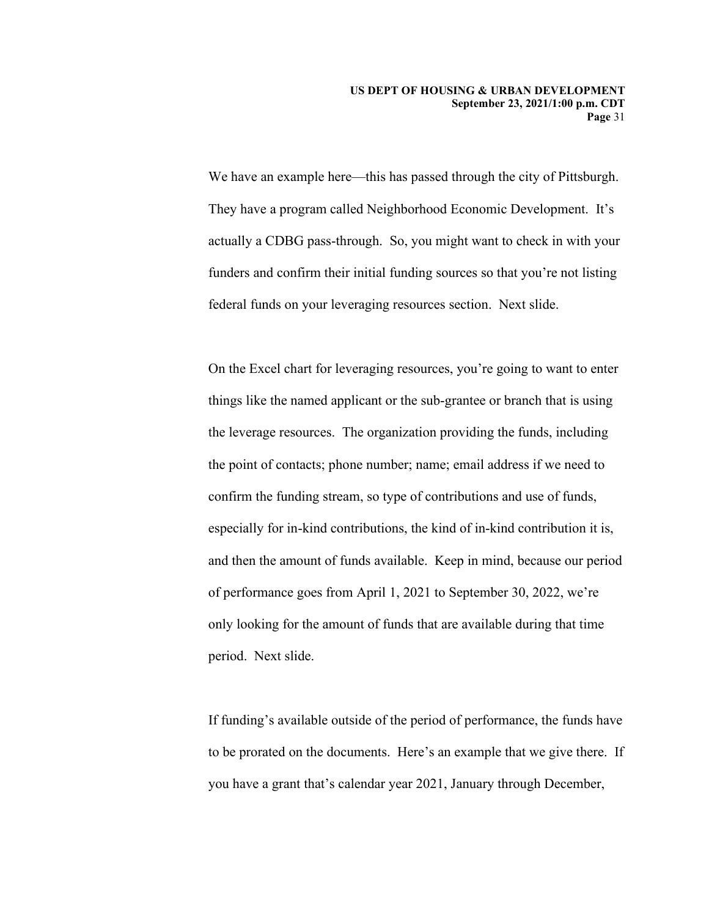We have an example here—this has passed through the city of Pittsburgh. They have a program called Neighborhood Economic Development. It's actually a CDBG pass-through. So, you might want to check in with your funders and confirm their initial funding sources so that you're not listing federal funds on your leveraging resources section. Next slide.

On the Excel chart for leveraging resources, you're going to want to enter things like the named applicant or the sub-grantee or branch that is using the leverage resources. The organization providing the funds, including the point of contacts; phone number; name; email address if we need to confirm the funding stream, so type of contributions and use of funds, especially for in-kind contributions, the kind of in-kind contribution it is, and then the amount of funds available. Keep in mind, because our period of performance goes from April 1, 2021 to September 30, 2022, we're only looking for the amount of funds that are available during that time period. Next slide.

 If funding's available outside of the period of performance, the funds have to be prorated on the documents. Here's an example that we give there. If you have a grant that's calendar year 2021, January through December,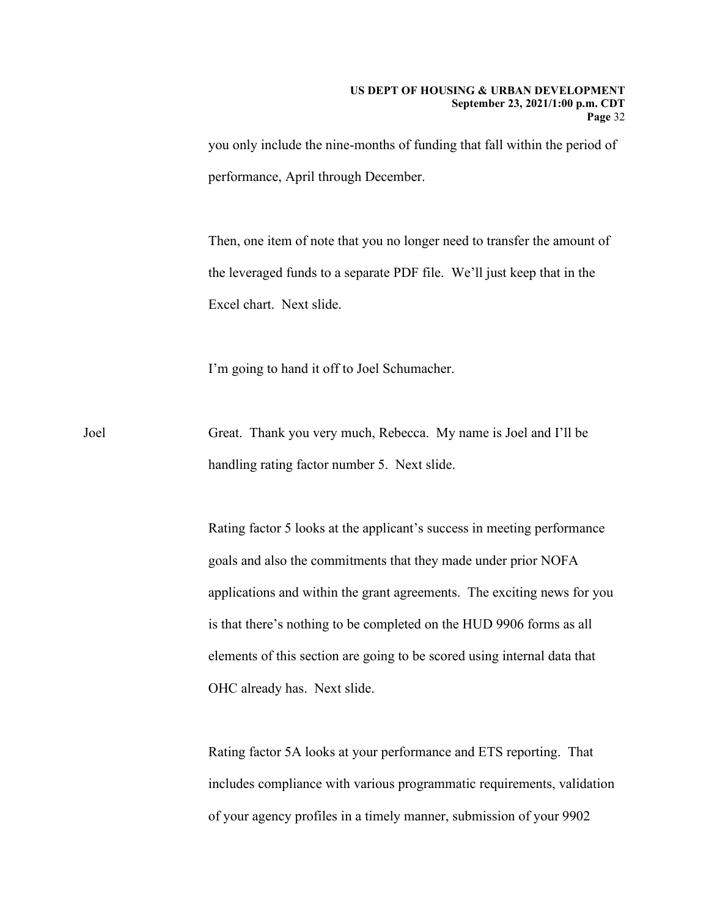performance, April through December. you only include the nine-months of funding that fall within the period of

 the leveraged funds to a separate PDF file. We'll just keep that in the Then, one item of note that you no longer need to transfer the amount of Excel chart. Next slide.

I'm going to hand it off to Joel Schumacher.

Joel Great. Thank you very much, Rebecca. My name is Joel and I'll be handling rating factor number 5. Next slide.

> Rating factor 5 looks at the applicant's success in meeting performance goals and also the commitments that they made under prior NOFA applications and within the grant agreements. The exciting news for you is that there's nothing to be completed on the HUD 9906 forms as all elements of this section are going to be scored using internal data that OHC already has. Next slide.

> Rating factor 5A looks at your performance and ETS reporting. That includes compliance with various programmatic requirements, validation of your agency profiles in a timely manner, submission of your 9902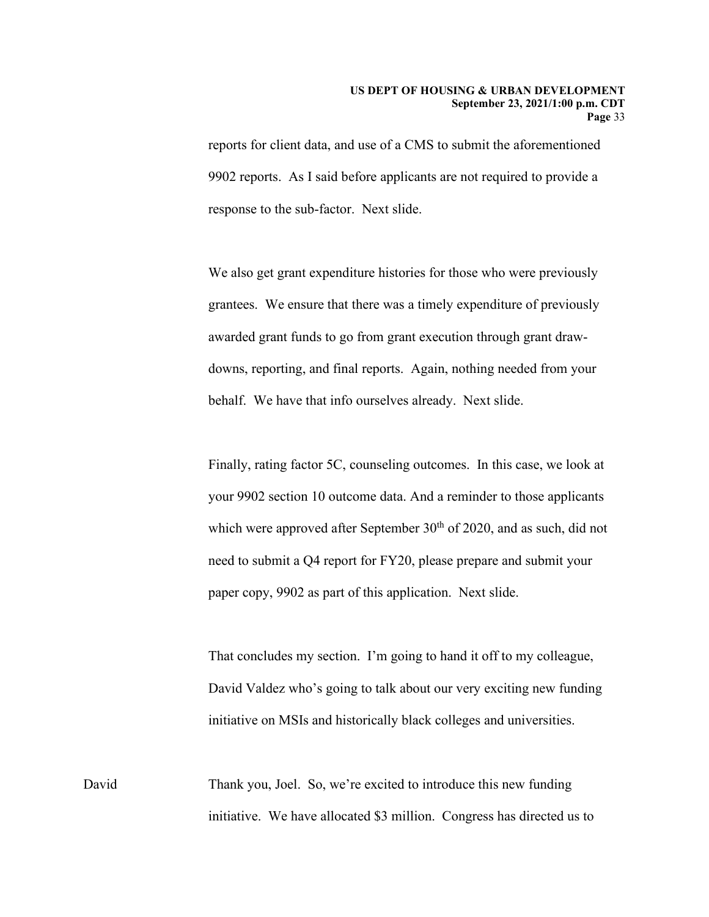reports for client data, and use of a CMS to submit the aforementioned 9902 reports. As I said before applicants are not required to provide a response to the sub-factor. Next slide.

 grantees. We ensure that there was a timely expenditure of previously We also get grant expenditure histories for those who were previously awarded grant funds to go from grant execution through grant drawdowns, reporting, and final reports. Again, nothing needed from your behalf. We have that info ourselves already. Next slide.

 paper copy, 9902 as part of this application. Next slide. Finally, rating factor 5C, counseling outcomes. In this case, we look at your 9902 section 10 outcome data. And a reminder to those applicants which were approved after September  $30<sup>th</sup>$  of 2020, and as such, did not need to submit a Q4 report for FY20, please prepare and submit your

That concludes my section. I'm going to hand it off to my colleague, David Valdez who's going to talk about our very exciting new funding initiative on MSIs and historically black colleges and universities.

David Thank you, Joel. So, we're excited to introduce this new funding initiative. We have allocated \$3 million. Congress has directed us to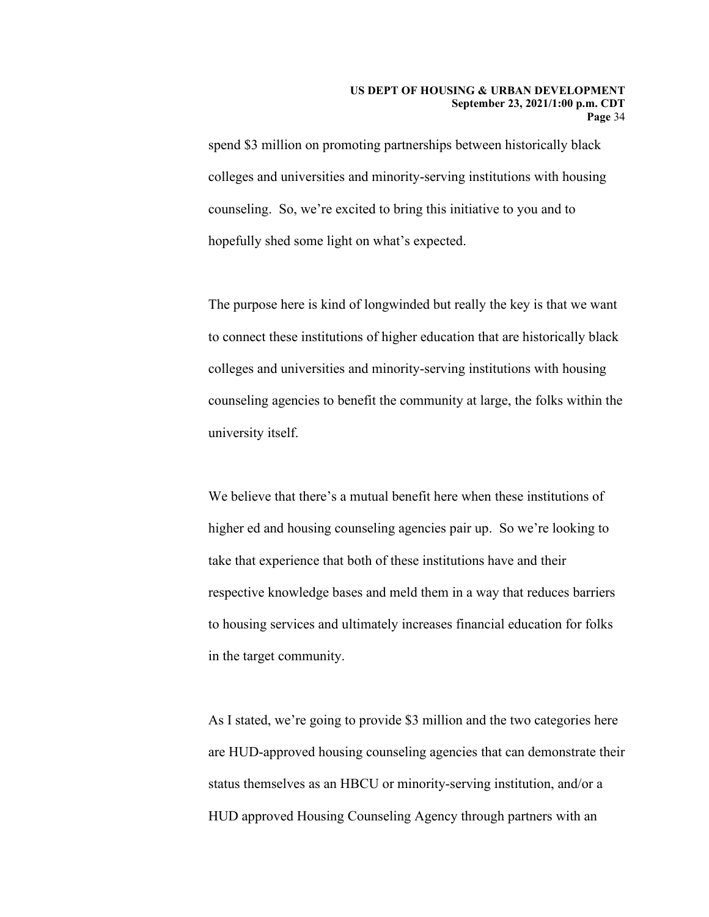spend \$3 million on promoting partnerships between historically black colleges and universities and minority-serving institutions with housing counseling. So, we're excited to bring this initiative to you and to hopefully shed some light on what's expected.

The purpose here is kind of longwinded but really the key is that we want to connect these institutions of higher education that are historically black colleges and universities and minority-serving institutions with housing counseling agencies to benefit the community at large, the folks within the university itself.

 take that experience that both of these institutions have and their to housing services and ultimately increases financial education for folks We believe that there's a mutual benefit here when these institutions of higher ed and housing counseling agencies pair up. So we're looking to respective knowledge bases and meld them in a way that reduces barriers in the target community.

As I stated, we're going to provide \$3 million and the two categories here are HUD-approved housing counseling agencies that can demonstrate their status themselves as an HBCU or minority-serving institution, and/or a HUD approved Housing Counseling Agency through partners with an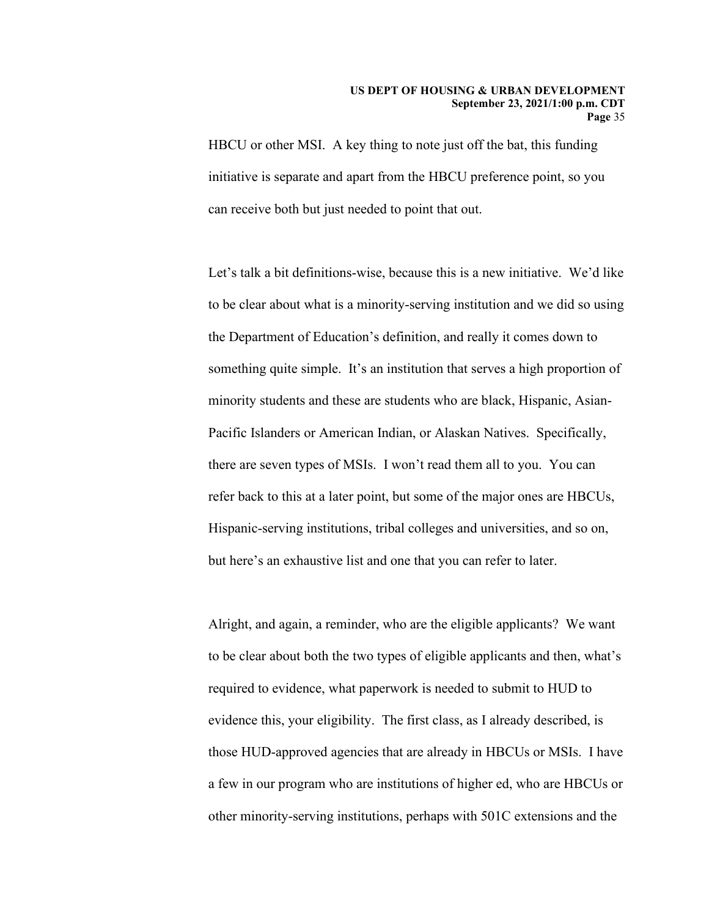HBCU or other MSI. A key thing to note just off the bat, this funding initiative is separate and apart from the HBCU preference point, so you can receive both but just needed to point that out.

Let's talk a bit definitions-wise, because this is a new initiative. We'd like to be clear about what is a minority-serving institution and we did so using the Department of Education's definition, and really it comes down to something quite simple. It's an institution that serves a high proportion of minority students and these are students who are black, Hispanic, Asian-Pacific Islanders or American Indian, or Alaskan Natives. Specifically, there are seven types of MSIs. I won't read them all to you. You can refer back to this at a later point, but some of the major ones are HBCUs, Hispanic-serving institutions, tribal colleges and universities, and so on, but here's an exhaustive list and one that you can refer to later.

Alright, and again, a reminder, who are the eligible applicants? We want to be clear about both the two types of eligible applicants and then, what's required to evidence, what paperwork is needed to submit to HUD to evidence this, your eligibility. The first class, as I already described, is those HUD-approved agencies that are already in HBCUs or MSIs. I have a few in our program who are institutions of higher ed, who are HBCUs or other minority-serving institutions, perhaps with 501C extensions and the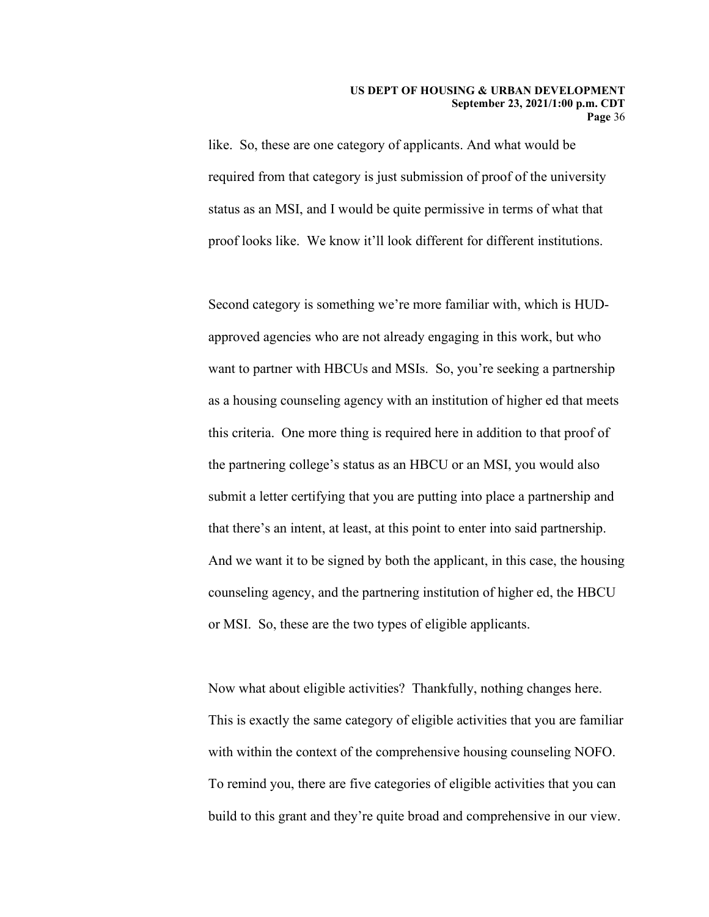status as an MSI, and I would be quite permissive in terms of what that proof looks like. We know it'll look different for different institutions. like. So, these are one category of applicants. And what would be required from that category is just submission of proof of the university

 counseling agency, and the partnering institution of higher ed, the HBCU or MSI. So, these are the two types of eligible applicants. Second category is something we're more familiar with, which is HUDapproved agencies who are not already engaging in this work, but who want to partner with HBCUs and MSIs. So, you're seeking a partnership as a housing counseling agency with an institution of higher ed that meets this criteria. One more thing is required here in addition to that proof of the partnering college's status as an HBCU or an MSI, you would also submit a letter certifying that you are putting into place a partnership and that there's an intent, at least, at this point to enter into said partnership. And we want it to be signed by both the applicant, in this case, the housing

 To remind you, there are five categories of eligible activities that you can build to this grant and they're quite broad and comprehensive in our view. Now what about eligible activities? Thankfully, nothing changes here. This is exactly the same category of eligible activities that you are familiar with within the context of the comprehensive housing counseling NOFO.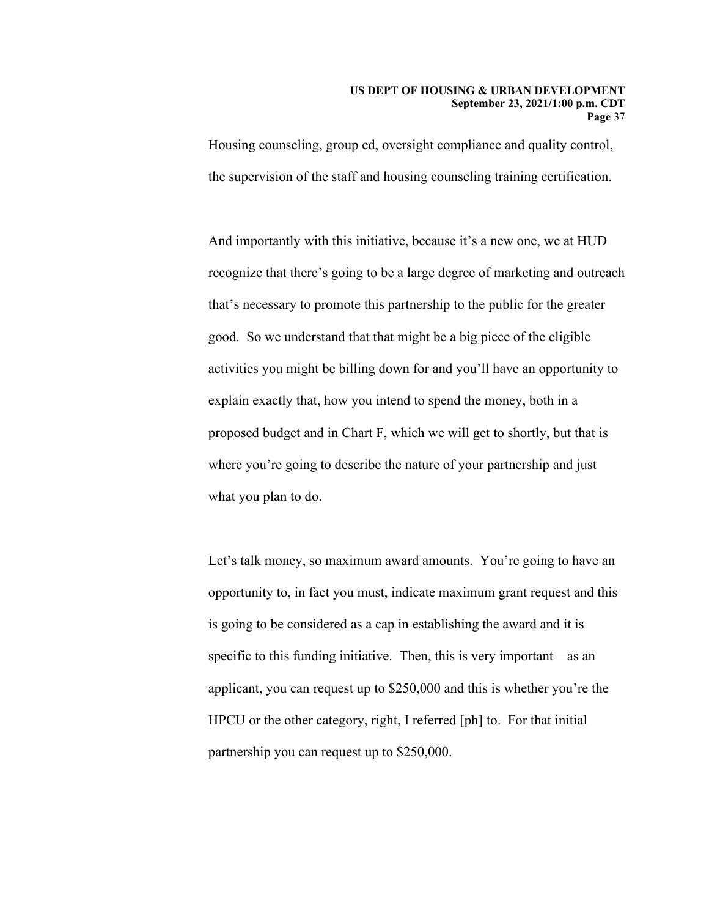#### **US DEPT OF HOUSING & URBAN DEVELOPMENT September 23, 2021/1:00 p.m. CDT Page** 37

Housing counseling, group ed, oversight compliance and quality control, the supervision of the staff and housing counseling training certification.

 good. So we understand that that might be a big piece of the eligible And importantly with this initiative, because it's a new one, we at HUD recognize that there's going to be a large degree of marketing and outreach that's necessary to promote this partnership to the public for the greater activities you might be billing down for and you'll have an opportunity to explain exactly that, how you intend to spend the money, both in a proposed budget and in Chart F, which we will get to shortly, but that is where you're going to describe the nature of your partnership and just what you plan to do.

Let's talk money, so maximum award amounts. You're going to have an opportunity to, in fact you must, indicate maximum grant request and this is going to be considered as a cap in establishing the award and it is specific to this funding initiative. Then, this is very important—as an applicant, you can request up to \$250,000 and this is whether you're the HPCU or the other category, right, I referred [ph] to. For that initial partnership you can request up to \$250,000.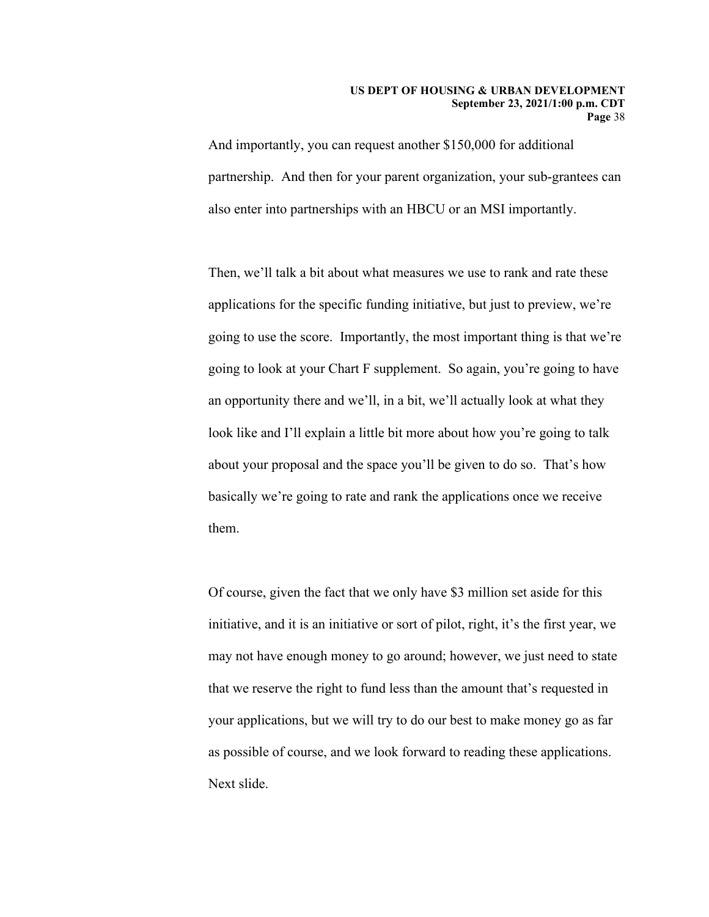#### **US DEPT OF HOUSING & URBAN DEVELOPMENT September 23, 2021/1:00 p.m. CDT Page** 38

And importantly, you can request another \$150,000 for additional partnership. And then for your parent organization, your sub-grantees can also enter into partnerships with an HBCU or an MSI importantly.

 going to look at your Chart F supplement. So again, you're going to have basically we're going to rate and rank the applications once we receive Then, we'll talk a bit about what measures we use to rank and rate these applications for the specific funding initiative, but just to preview, we're going to use the score. Importantly, the most important thing is that we're an opportunity there and we'll, in a bit, we'll actually look at what they look like and I'll explain a little bit more about how you're going to talk about your proposal and the space you'll be given to do so. That's how them.

 Of course, given the fact that we only have \$3 million set aside for this initiative, and it is an initiative or sort of pilot, right, it's the first year, we may not have enough money to go around; however, we just need to state that we reserve the right to fund less than the amount that's requested in your applications, but we will try to do our best to make money go as far as possible of course, and we look forward to reading these applications. Next slide.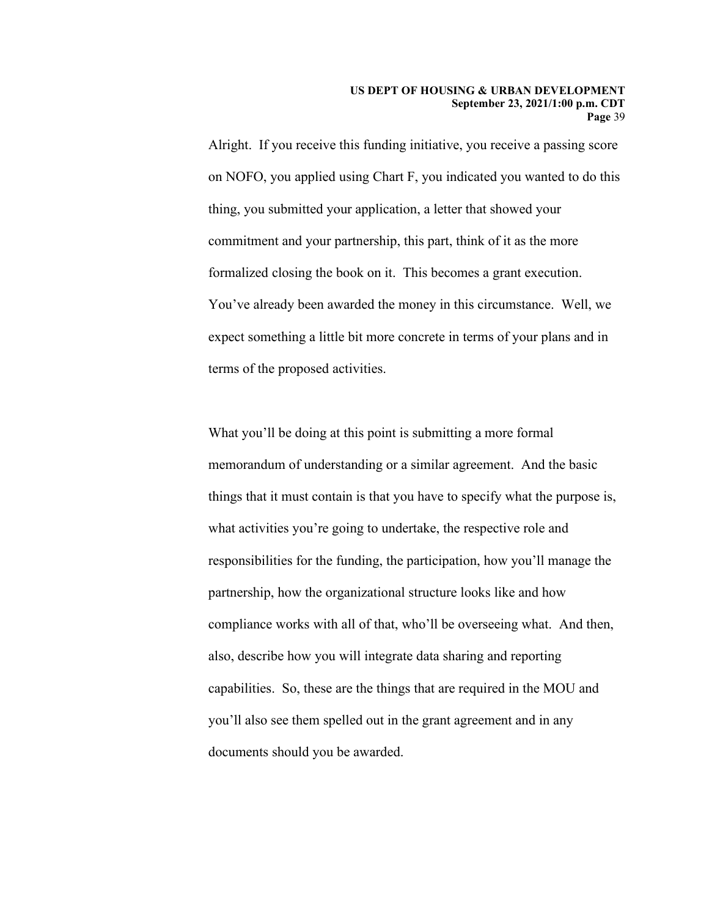thing, you submitted your application, a letter that showed your Alright. If you receive this funding initiative, you receive a passing score on NOFO, you applied using Chart F, you indicated you wanted to do this commitment and your partnership, this part, think of it as the more formalized closing the book on it. This becomes a grant execution. You've already been awarded the money in this circumstance. Well, we expect something a little bit more concrete in terms of your plans and in terms of the proposed activities.

 What you'll be doing at this point is submitting a more formal memorandum of understanding or a similar agreement. And the basic things that it must contain is that you have to specify what the purpose is, what activities you're going to undertake, the respective role and responsibilities for the funding, the participation, how you'll manage the partnership, how the organizational structure looks like and how compliance works with all of that, who'll be overseeing what. And then, also, describe how you will integrate data sharing and reporting capabilities. So, these are the things that are required in the MOU and you'll also see them spelled out in the grant agreement and in any documents should you be awarded.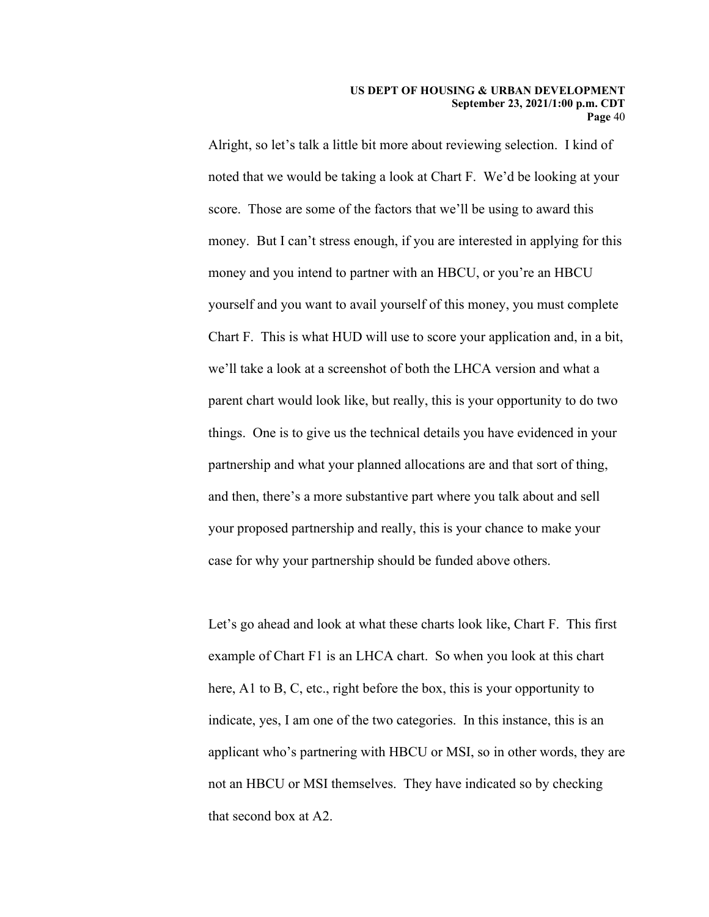#### **US DEPT OF HOUSING & URBAN DEVELOPMENT September 23, 2021/1:00 p.m. CDT Page** 40

 Alright, so let's talk a little bit more about reviewing selection. I kind of we'll take a look at a screenshot of both the LHCA version and what a noted that we would be taking a look at Chart F. We'd be looking at your score. Those are some of the factors that we'll be using to award this money. But I can't stress enough, if you are interested in applying for this money and you intend to partner with an HBCU, or you're an HBCU yourself and you want to avail yourself of this money, you must complete Chart F. This is what HUD will use to score your application and, in a bit, parent chart would look like, but really, this is your opportunity to do two things. One is to give us the technical details you have evidenced in your partnership and what your planned allocations are and that sort of thing, and then, there's a more substantive part where you talk about and sell your proposed partnership and really, this is your chance to make your case for why your partnership should be funded above others.

Let's go ahead and look at what these charts look like, Chart F. This first example of Chart F1 is an LHCA chart. So when you look at this chart here, A1 to B, C, etc., right before the box, this is your opportunity to indicate, yes, I am one of the two categories. In this instance, this is an applicant who's partnering with HBCU or MSI, so in other words, they are not an HBCU or MSI themselves. They have indicated so by checking that second box at A2.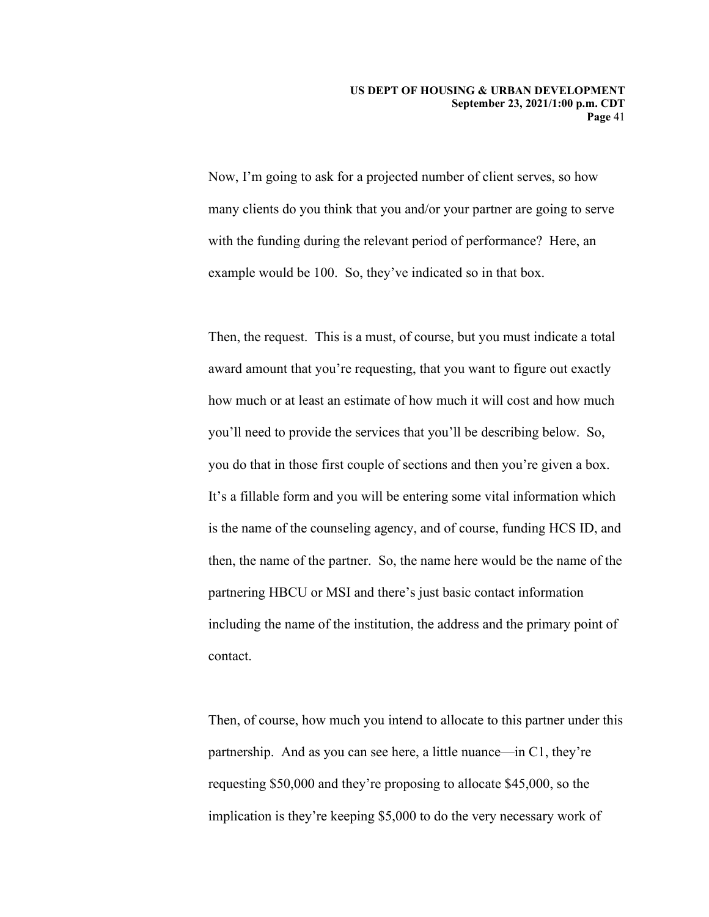Now, I'm going to ask for a projected number of client serves, so how many clients do you think that you and/or your partner are going to serve with the funding during the relevant period of performance? Here, an example would be 100. So, they've indicated so in that box.

contact. Then, the request. This is a must, of course, but you must indicate a total award amount that you're requesting, that you want to figure out exactly how much or at least an estimate of how much it will cost and how much you'll need to provide the services that you'll be describing below. So, you do that in those first couple of sections and then you're given a box. It's a fillable form and you will be entering some vital information which is the name of the counseling agency, and of course, funding HCS ID, and then, the name of the partner. So, the name here would be the name of the partnering HBCU or MSI and there's just basic contact information including the name of the institution, the address and the primary point of

contact.<br>Then, of course, how much you intend to allocate to this partner under this partnership. And as you can see here, a little nuance—in C1, they're requesting \$50,000 and they're proposing to allocate \$45,000, so the implication is they're keeping \$5,000 to do the very necessary work of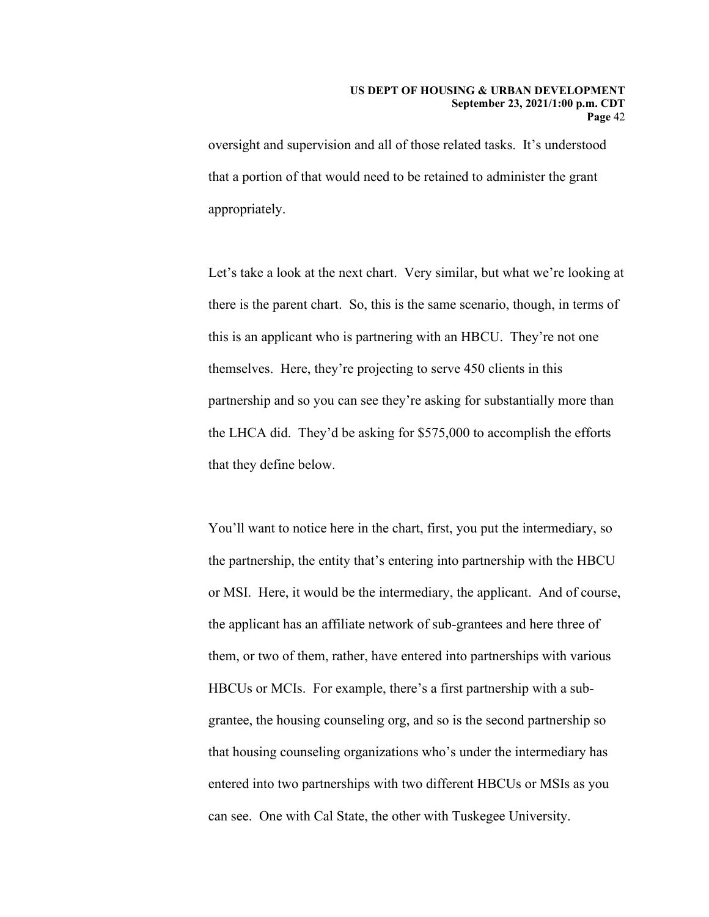oversight and supervision and all of those related tasks. It's understood that a portion of that would need to be retained to administer the grant appropriately.

 this is an applicant who is partnering with an HBCU. They're not one the LHCA did. They'd be asking for \$575,000 to accomplish the efforts Let's take a look at the next chart. Very similar, but what we're looking at there is the parent chart. So, this is the same scenario, though, in terms of themselves. Here, they're projecting to serve 450 clients in this partnership and so you can see they're asking for substantially more than that they define below.

You'll want to notice here in the chart, first, you put the intermediary, so the partnership, the entity that's entering into partnership with the HBCU or MSI. Here, it would be the intermediary, the applicant. And of course, the applicant has an affiliate network of sub-grantees and here three of them, or two of them, rather, have entered into partnerships with various HBCUs or MCIs. For example, there's a first partnership with a subgrantee, the housing counseling org, and so is the second partnership so that housing counseling organizations who's under the intermediary has entered into two partnerships with two different HBCUs or MSIs as you can see. One with Cal State, the other with Tuskegee University.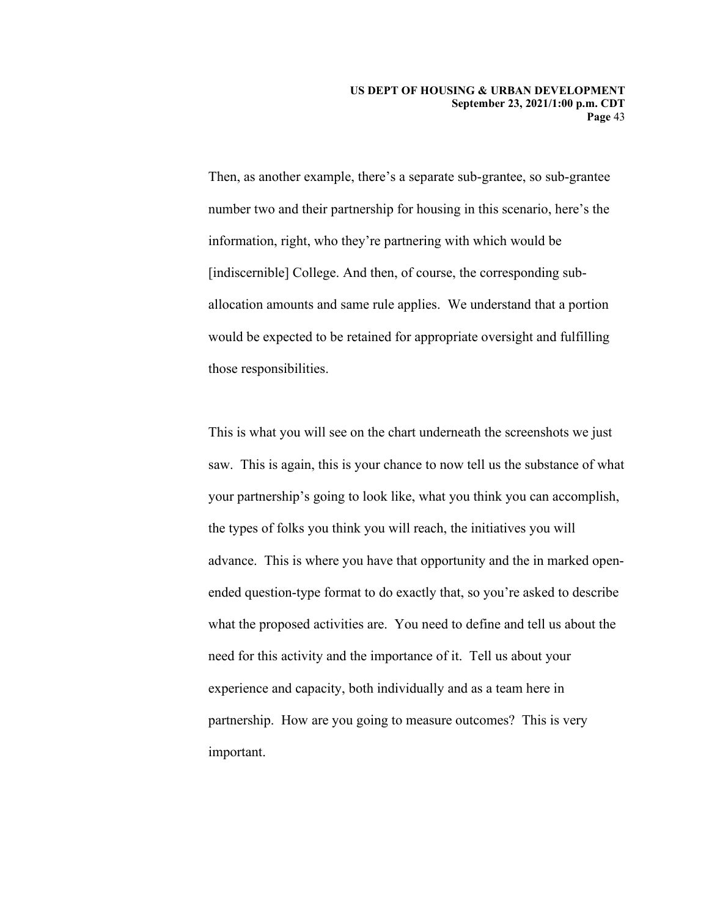Then, as another example, there's a separate sub-grantee, so sub-grantee number two and their partnership for housing in this scenario, here's the information, right, who they're partnering with which would be [indiscernible] College. And then, of course, the corresponding suballocation amounts and same rule applies. We understand that a portion would be expected to be retained for appropriate oversight and fulfilling those responsibilities.

This is what you will see on the chart underneath the screenshots we just saw. This is again, this is your chance to now tell us the substance of what your partnership's going to look like, what you think you can accomplish, the types of folks you think you will reach, the initiatives you will advance. This is where you have that opportunity and the in marked openended question-type format to do exactly that, so you're asked to describe what the proposed activities are. You need to define and tell us about the need for this activity and the importance of it. Tell us about your experience and capacity, both individually and as a team here in partnership. How are you going to measure outcomes? This is very important.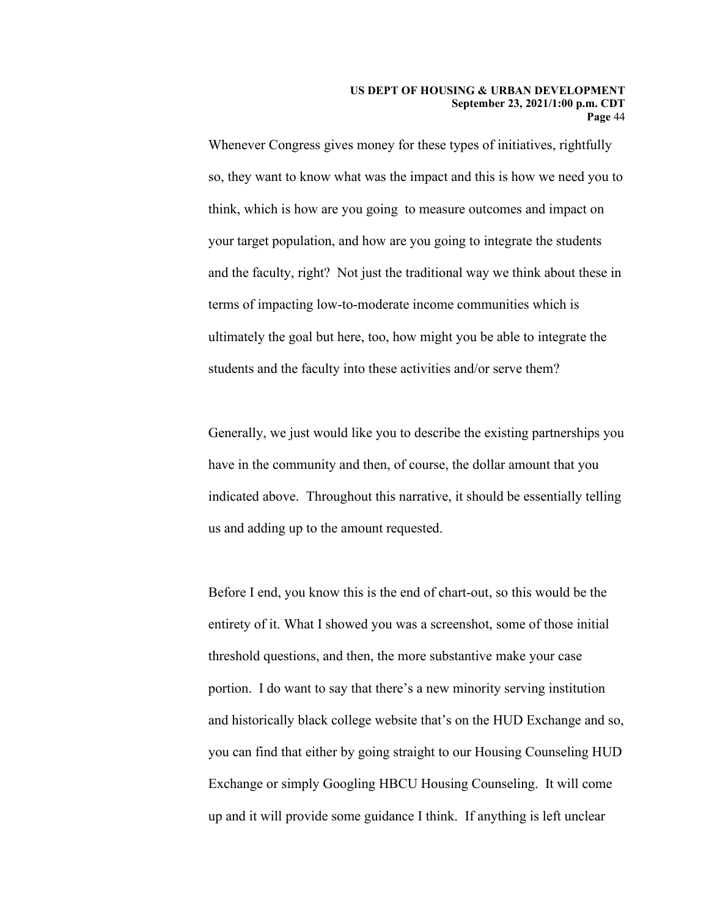#### **US DEPT OF HOUSING & URBAN DEVELOPMENT September 23, 2021/1:00 p.m. CDT Page** 44

students and the faculty into these activities and/or serve them? Whenever Congress gives money for these types of initiatives, rightfully so, they want to know what was the impact and this is how we need you to think, which is how are you going to measure outcomes and impact on your target population, and how are you going to integrate the students and the faculty, right? Not just the traditional way we think about these in terms of impacting low-to-moderate income communities which is ultimately the goal but here, too, how might you be able to integrate the

Generally, we just would like you to describe the existing partnerships you have in the community and then, of course, the dollar amount that you indicated above. Throughout this narrative, it should be essentially telling us and adding up to the amount requested.

 Before I end, you know this is the end of chart-out, so this would be the entirety of it. What I showed you was a screenshot, some of those initial threshold questions, and then, the more substantive make your case portion. I do want to say that there's a new minority serving institution and historically black college website that's on the HUD Exchange and so, you can find that either by going straight to our Housing Counseling HUD Exchange or simply Googling HBCU Housing Counseling. It will come up and it will provide some guidance I think. If anything is left unclear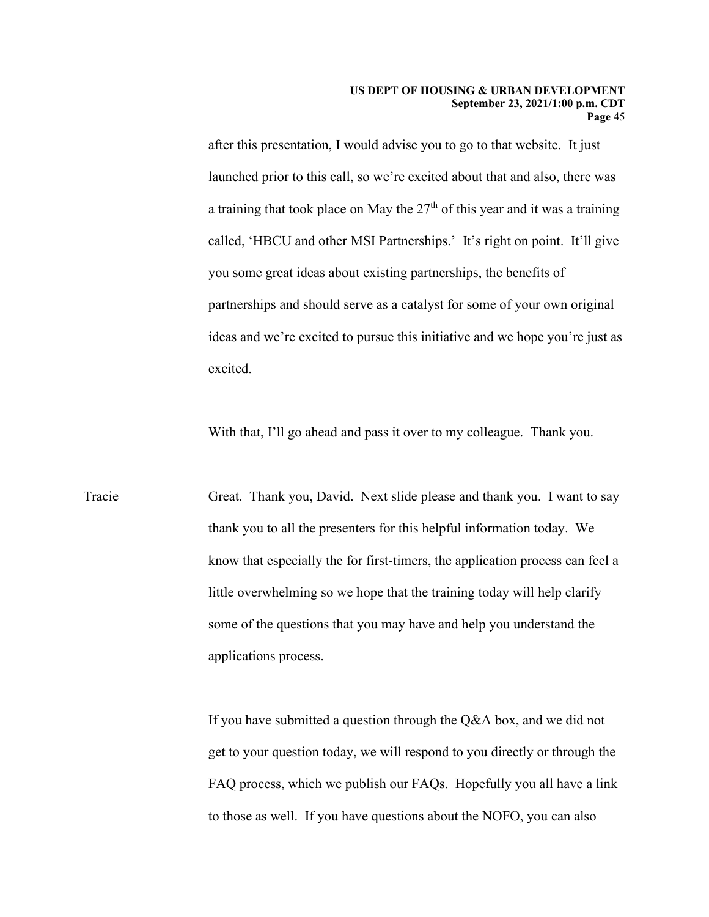after this presentation, I would advise you to go to that website. It just launched prior to this call, so we're excited about that and also, there was a training that took place on May the  $27<sup>th</sup>$  of this year and it was a training called, 'HBCU and other MSI Partnerships.' It's right on point. It'll give you some great ideas about existing partnerships, the benefits of partnerships and should serve as a catalyst for some of your own original ideas and we're excited to pursue this initiative and we hope you're just as excited.

With that, I'll go ahead and pass it over to my colleague. Thank you.

Tracie Great. Thank you, David. Next slide please and thank you. I want to say thank you to all the presenters for this helpful information today. We know that especially the for first-timers, the application process can feel a little overwhelming so we hope that the training today will help clarify some of the questions that you may have and help you understand the applications process.

> to those as well. If you have questions about the NOFO, you can also If you have submitted a question through the Q&A box, and we did not get to your question today, we will respond to you directly or through the FAQ process, which we publish our FAQs. Hopefully you all have a link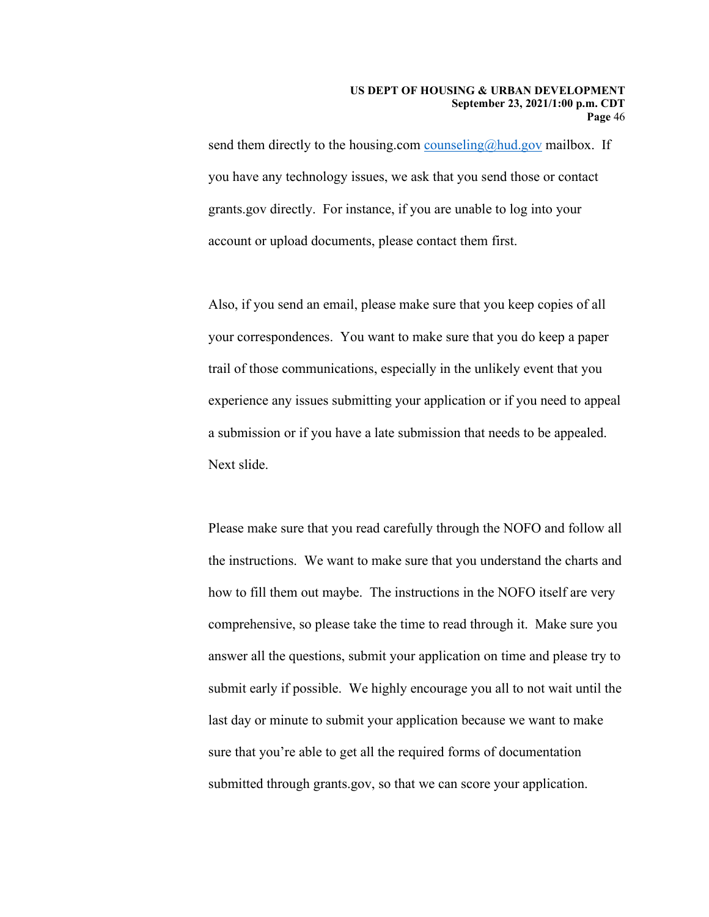send them directly to the housing.com [counseling@hud.gov](mailto:counseling@hud.gov) mailbox. If you have any technology issues, we ask that you send those or contact grants.gov directly. For instance, if you are unable to log into your account or upload documents, please contact them first.

Also, if you send an email, please make sure that you keep copies of all your correspondences. You want to make sure that you do keep a paper trail of those communications, especially in the unlikely event that you experience any issues submitting your application or if you need to appeal a submission or if you have a late submission that needs to be appealed. Next slide.

 sure that you're able to get all the required forms of documentation Please make sure that you read carefully through the NOFO and follow all the instructions. We want to make sure that you understand the charts and how to fill them out maybe. The instructions in the NOFO itself are very comprehensive, so please take the time to read through it. Make sure you answer all the questions, submit your application on time and please try to submit early if possible. We highly encourage you all to not wait until the last day or minute to submit your application because we want to make submitted through grants.gov, so that we can score your application.